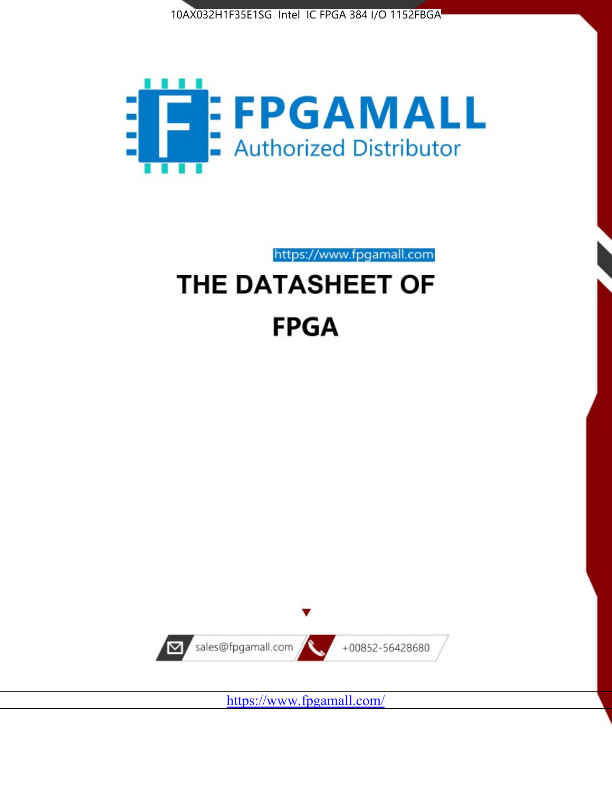



https://www.fpgamall.com THE DATASHEET OF

# **FPGA**



<https://www.fpgamall.com/>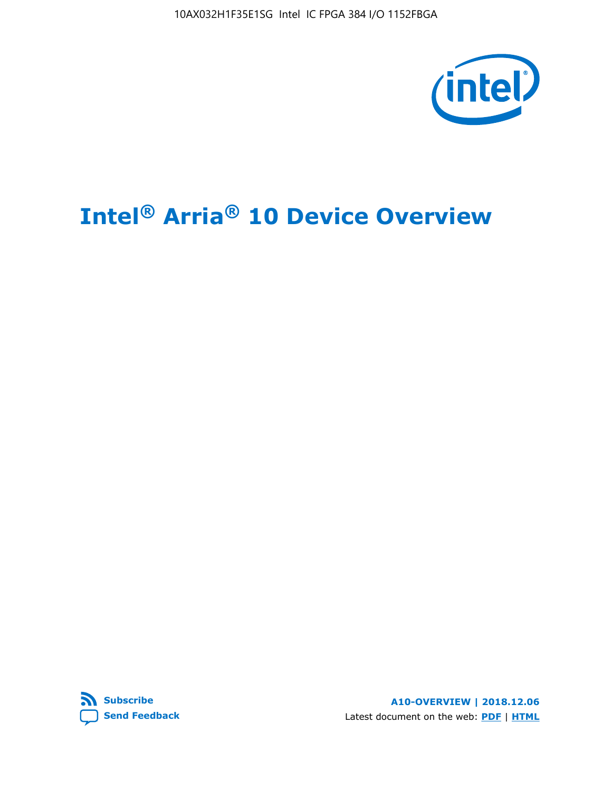10AX032H1F35E1SG Intel IC FPGA 384 I/O 1152FBGA



# **Intel® Arria® 10 Device Overview**



**A10-OVERVIEW | 2018.12.06** Latest document on the web: **[PDF](https://www.intel.com/content/dam/www/programmable/us/en/pdfs/literature/hb/arria-10/a10_overview.pdf)** | **[HTML](https://www.intel.com/content/www/us/en/programmable/documentation/sam1403480274650.html)**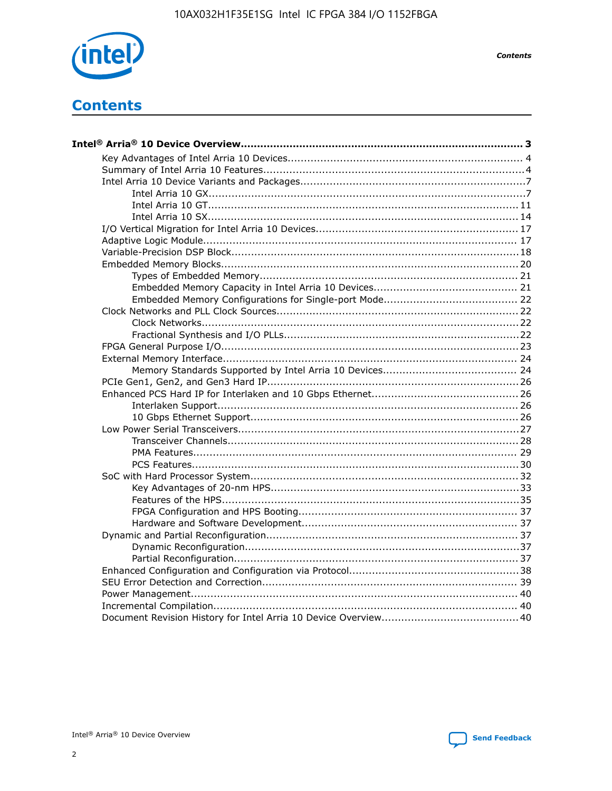

**Contents** 

# **Contents**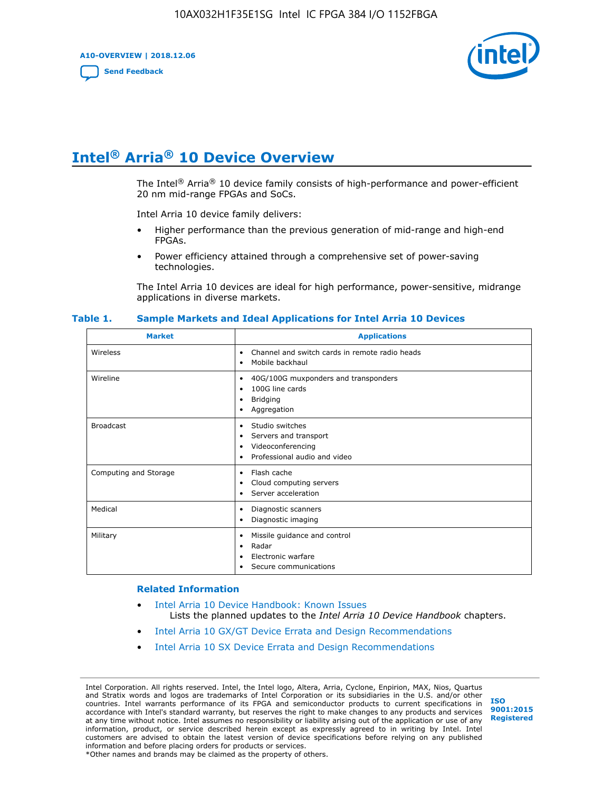**A10-OVERVIEW | 2018.12.06**

**[Send Feedback](mailto:FPGAtechdocfeedback@intel.com?subject=Feedback%20on%20Intel%20Arria%2010%20Device%20Overview%20(A10-OVERVIEW%202018.12.06)&body=We%20appreciate%20your%20feedback.%20In%20your%20comments,%20also%20specify%20the%20page%20number%20or%20paragraph.%20Thank%20you.)**



# **Intel® Arria® 10 Device Overview**

The Intel<sup>®</sup> Arria<sup>®</sup> 10 device family consists of high-performance and power-efficient 20 nm mid-range FPGAs and SoCs.

Intel Arria 10 device family delivers:

- Higher performance than the previous generation of mid-range and high-end FPGAs.
- Power efficiency attained through a comprehensive set of power-saving technologies.

The Intel Arria 10 devices are ideal for high performance, power-sensitive, midrange applications in diverse markets.

| <b>Market</b>         | <b>Applications</b>                                                                                               |
|-----------------------|-------------------------------------------------------------------------------------------------------------------|
| Wireless              | Channel and switch cards in remote radio heads<br>٠<br>Mobile backhaul<br>٠                                       |
| Wireline              | 40G/100G muxponders and transponders<br>٠<br>100G line cards<br>٠<br><b>Bridging</b><br>٠<br>Aggregation<br>٠     |
| <b>Broadcast</b>      | Studio switches<br>٠<br>Servers and transport<br>٠<br>Videoconferencing<br>٠<br>Professional audio and video<br>٠ |
| Computing and Storage | Flash cache<br>٠<br>Cloud computing servers<br>٠<br>Server acceleration<br>٠                                      |
| Medical               | Diagnostic scanners<br>٠<br>Diagnostic imaging<br>٠                                                               |
| Military              | Missile guidance and control<br>٠<br>Radar<br>٠<br>Electronic warfare<br>٠<br>Secure communications<br>٠          |

#### **Table 1. Sample Markets and Ideal Applications for Intel Arria 10 Devices**

#### **Related Information**

- [Intel Arria 10 Device Handbook: Known Issues](http://www.altera.com/support/kdb/solutions/rd07302013_646.html) Lists the planned updates to the *Intel Arria 10 Device Handbook* chapters.
- [Intel Arria 10 GX/GT Device Errata and Design Recommendations](https://www.intel.com/content/www/us/en/programmable/documentation/agz1493851706374.html#yqz1494433888646)
- [Intel Arria 10 SX Device Errata and Design Recommendations](https://www.intel.com/content/www/us/en/programmable/documentation/cru1462832385668.html#cru1462832558642)

Intel Corporation. All rights reserved. Intel, the Intel logo, Altera, Arria, Cyclone, Enpirion, MAX, Nios, Quartus and Stratix words and logos are trademarks of Intel Corporation or its subsidiaries in the U.S. and/or other countries. Intel warrants performance of its FPGA and semiconductor products to current specifications in accordance with Intel's standard warranty, but reserves the right to make changes to any products and services at any time without notice. Intel assumes no responsibility or liability arising out of the application or use of any information, product, or service described herein except as expressly agreed to in writing by Intel. Intel customers are advised to obtain the latest version of device specifications before relying on any published information and before placing orders for products or services. \*Other names and brands may be claimed as the property of others.

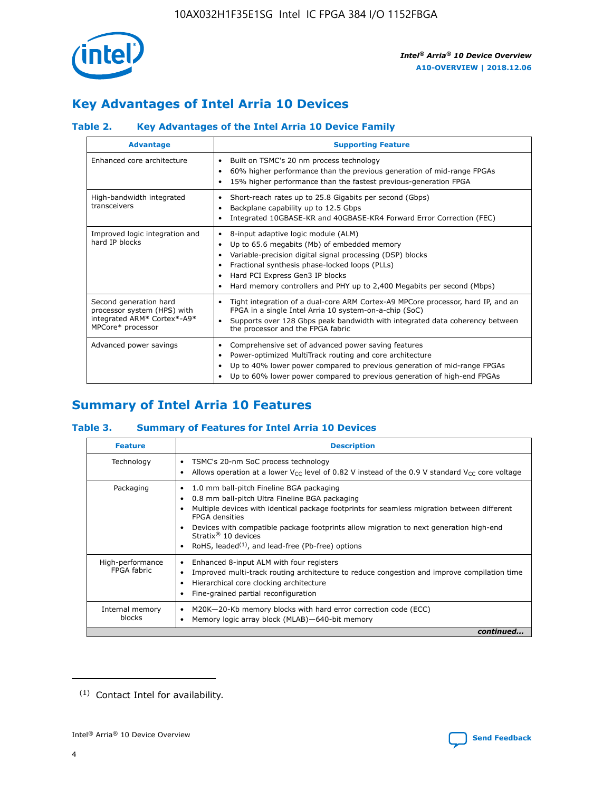

# **Key Advantages of Intel Arria 10 Devices**

## **Table 2. Key Advantages of the Intel Arria 10 Device Family**

| <b>Advantage</b>                                                                                          | <b>Supporting Feature</b>                                                                                                                                                                                                                                                                                                     |
|-----------------------------------------------------------------------------------------------------------|-------------------------------------------------------------------------------------------------------------------------------------------------------------------------------------------------------------------------------------------------------------------------------------------------------------------------------|
| Enhanced core architecture                                                                                | Built on TSMC's 20 nm process technology<br>٠<br>60% higher performance than the previous generation of mid-range FPGAs<br>٠<br>15% higher performance than the fastest previous-generation FPGA<br>٠                                                                                                                         |
| High-bandwidth integrated<br>transceivers                                                                 | Short-reach rates up to 25.8 Gigabits per second (Gbps)<br>٠<br>Backplane capability up to 12.5 Gbps<br>٠<br>Integrated 10GBASE-KR and 40GBASE-KR4 Forward Error Correction (FEC)<br>٠                                                                                                                                        |
| Improved logic integration and<br>hard IP blocks                                                          | 8-input adaptive logic module (ALM)<br>٠<br>Up to 65.6 megabits (Mb) of embedded memory<br>٠<br>Variable-precision digital signal processing (DSP) blocks<br>Fractional synthesis phase-locked loops (PLLs)<br>٠<br>Hard PCI Express Gen3 IP blocks<br>Hard memory controllers and PHY up to 2,400 Megabits per second (Mbps) |
| Second generation hard<br>processor system (HPS) with<br>integrated ARM* Cortex*-A9*<br>MPCore* processor | Tight integration of a dual-core ARM Cortex-A9 MPCore processor, hard IP, and an<br>٠<br>FPGA in a single Intel Arria 10 system-on-a-chip (SoC)<br>Supports over 128 Gbps peak bandwidth with integrated data coherency between<br>$\bullet$<br>the processor and the FPGA fabric                                             |
| Advanced power savings                                                                                    | Comprehensive set of advanced power saving features<br>٠<br>Power-optimized MultiTrack routing and core architecture<br>٠<br>Up to 40% lower power compared to previous generation of mid-range FPGAs<br>٠<br>Up to 60% lower power compared to previous generation of high-end FPGAs                                         |

# **Summary of Intel Arria 10 Features**

## **Table 3. Summary of Features for Intel Arria 10 Devices**

| <b>Feature</b>                  | <b>Description</b>                                                                                                                                                                                                                                                                                                                                                                                 |
|---------------------------------|----------------------------------------------------------------------------------------------------------------------------------------------------------------------------------------------------------------------------------------------------------------------------------------------------------------------------------------------------------------------------------------------------|
| Technology                      | TSMC's 20-nm SoC process technology<br>Allows operation at a lower $V_{\text{CC}}$ level of 0.82 V instead of the 0.9 V standard $V_{\text{CC}}$ core voltage                                                                                                                                                                                                                                      |
| Packaging                       | 1.0 mm ball-pitch Fineline BGA packaging<br>٠<br>0.8 mm ball-pitch Ultra Fineline BGA packaging<br>Multiple devices with identical package footprints for seamless migration between different<br><b>FPGA</b> densities<br>Devices with compatible package footprints allow migration to next generation high-end<br>Stratix $@10$ devices<br>RoHS, leaded $(1)$ , and lead-free (Pb-free) options |
| High-performance<br>FPGA fabric | Enhanced 8-input ALM with four registers<br>Improved multi-track routing architecture to reduce congestion and improve compilation time<br>Hierarchical core clocking architecture<br>Fine-grained partial reconfiguration                                                                                                                                                                         |
| Internal memory<br>blocks       | M20K-20-Kb memory blocks with hard error correction code (ECC)<br>Memory logic array block (MLAB)-640-bit memory                                                                                                                                                                                                                                                                                   |
|                                 | continued                                                                                                                                                                                                                                                                                                                                                                                          |



<sup>(1)</sup> Contact Intel for availability.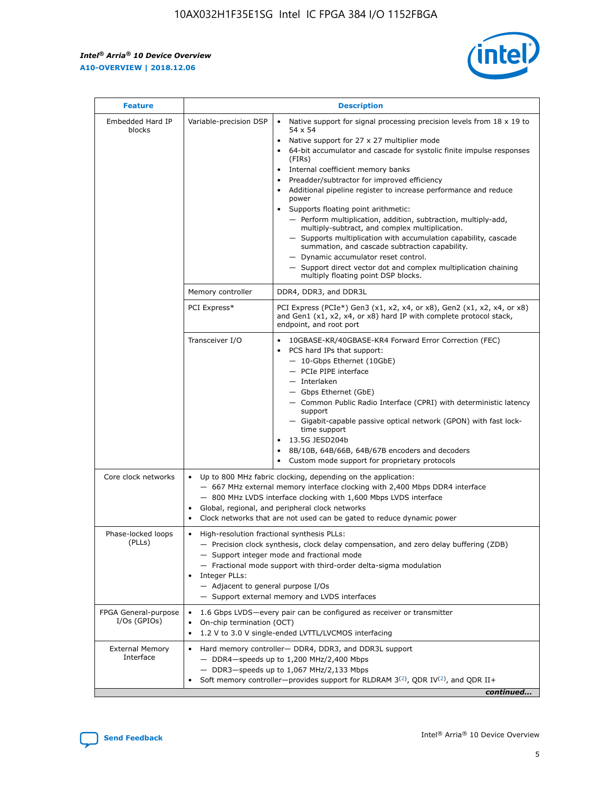$\mathbf{r}$ 



| <b>Feature</b>                         |                                                                                                                                                                                                                                                                                                                                   | <b>Description</b>                                                                                                                                                                                                                                                                                                                                                                                                                                                                                                                                                                                                                                                                                                                                                                                                                                               |  |  |  |  |  |
|----------------------------------------|-----------------------------------------------------------------------------------------------------------------------------------------------------------------------------------------------------------------------------------------------------------------------------------------------------------------------------------|------------------------------------------------------------------------------------------------------------------------------------------------------------------------------------------------------------------------------------------------------------------------------------------------------------------------------------------------------------------------------------------------------------------------------------------------------------------------------------------------------------------------------------------------------------------------------------------------------------------------------------------------------------------------------------------------------------------------------------------------------------------------------------------------------------------------------------------------------------------|--|--|--|--|--|
| Embedded Hard IP<br>blocks             | Variable-precision DSP                                                                                                                                                                                                                                                                                                            | Native support for signal processing precision levels from $18 \times 19$ to<br>$\bullet$<br>54 x 54<br>Native support for 27 x 27 multiplier mode<br>$\bullet$<br>64-bit accumulator and cascade for systolic finite impulse responses<br>(FIRs)<br>Internal coefficient memory banks<br>$\bullet$<br>Preadder/subtractor for improved efficiency<br>Additional pipeline register to increase performance and reduce<br>power<br>Supports floating point arithmetic:<br>- Perform multiplication, addition, subtraction, multiply-add,<br>multiply-subtract, and complex multiplication.<br>- Supports multiplication with accumulation capability, cascade<br>summation, and cascade subtraction capability.<br>- Dynamic accumulator reset control.<br>- Support direct vector dot and complex multiplication chaining<br>multiply floating point DSP blocks. |  |  |  |  |  |
|                                        | Memory controller                                                                                                                                                                                                                                                                                                                 | DDR4, DDR3, and DDR3L                                                                                                                                                                                                                                                                                                                                                                                                                                                                                                                                                                                                                                                                                                                                                                                                                                            |  |  |  |  |  |
|                                        | PCI Express*                                                                                                                                                                                                                                                                                                                      | PCI Express (PCIe*) Gen3 (x1, x2, x4, or x8), Gen2 (x1, x2, x4, or x8)<br>and Gen1 (x1, x2, x4, or x8) hard IP with complete protocol stack,<br>endpoint, and root port                                                                                                                                                                                                                                                                                                                                                                                                                                                                                                                                                                                                                                                                                          |  |  |  |  |  |
|                                        | Transceiver I/O                                                                                                                                                                                                                                                                                                                   | 10GBASE-KR/40GBASE-KR4 Forward Error Correction (FEC)<br>PCS hard IPs that support:<br>- 10-Gbps Ethernet (10GbE)<br>- PCIe PIPE interface<br>- Interlaken<br>- Gbps Ethernet (GbE)<br>- Common Public Radio Interface (CPRI) with deterministic latency<br>support<br>- Gigabit-capable passive optical network (GPON) with fast lock-<br>time support<br>13.5G JESD204b<br>$\bullet$<br>8B/10B, 64B/66B, 64B/67B encoders and decoders<br>Custom mode support for proprietary protocols                                                                                                                                                                                                                                                                                                                                                                        |  |  |  |  |  |
| Core clock networks                    | $\bullet$                                                                                                                                                                                                                                                                                                                         | Up to 800 MHz fabric clocking, depending on the application:<br>- 667 MHz external memory interface clocking with 2,400 Mbps DDR4 interface<br>- 800 MHz LVDS interface clocking with 1,600 Mbps LVDS interface<br>Global, regional, and peripheral clock networks<br>Clock networks that are not used can be gated to reduce dynamic power                                                                                                                                                                                                                                                                                                                                                                                                                                                                                                                      |  |  |  |  |  |
| Phase-locked loops<br>(PLLs)           | High-resolution fractional synthesis PLLs:<br>$\bullet$<br>Integer PLLs:<br>- Adjacent to general purpose I/Os                                                                                                                                                                                                                    | - Precision clock synthesis, clock delay compensation, and zero delay buffering (ZDB)<br>- Support integer mode and fractional mode<br>- Fractional mode support with third-order delta-sigma modulation<br>- Support external memory and LVDS interfaces                                                                                                                                                                                                                                                                                                                                                                                                                                                                                                                                                                                                        |  |  |  |  |  |
| FPGA General-purpose<br>$I/Os$ (GPIOs) | On-chip termination (OCT)<br>$\bullet$                                                                                                                                                                                                                                                                                            | 1.6 Gbps LVDS-every pair can be configured as receiver or transmitter                                                                                                                                                                                                                                                                                                                                                                                                                                                                                                                                                                                                                                                                                                                                                                                            |  |  |  |  |  |
| <b>External Memory</b><br>Interface    | 1.2 V to 3.0 V single-ended LVTTL/LVCMOS interfacing<br>Hard memory controller- DDR4, DDR3, and DDR3L support<br>$\bullet$<br>$-$ DDR4-speeds up to 1,200 MHz/2,400 Mbps<br>- DDR3-speeds up to 1,067 MHz/2,133 Mbps<br>Soft memory controller—provides support for RLDRAM $3^{(2)}$ , QDR IV $^{(2)}$ , and QDR II+<br>continued |                                                                                                                                                                                                                                                                                                                                                                                                                                                                                                                                                                                                                                                                                                                                                                                                                                                                  |  |  |  |  |  |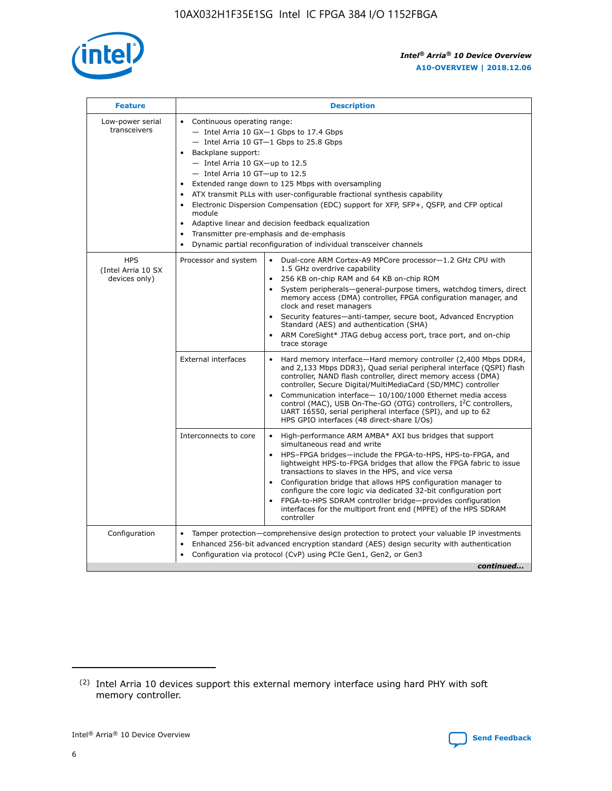

| <b>Feature</b>                                    | <b>Description</b>                                                                                                                                                                                                                                                                                                                                                                                                                                                                                                                                                                                                                                  |
|---------------------------------------------------|-----------------------------------------------------------------------------------------------------------------------------------------------------------------------------------------------------------------------------------------------------------------------------------------------------------------------------------------------------------------------------------------------------------------------------------------------------------------------------------------------------------------------------------------------------------------------------------------------------------------------------------------------------|
| Low-power serial<br>transceivers                  | • Continuous operating range:<br>- Intel Arria 10 GX-1 Gbps to 17.4 Gbps<br>- Intel Arria 10 GT-1 Gbps to 25.8 Gbps<br>Backplane support:<br>- Intel Arria 10 GX-up to 12.5<br>- Intel Arria 10 GT-up to 12.5<br>Extended range down to 125 Mbps with oversampling<br>ATX transmit PLLs with user-configurable fractional synthesis capability<br>Electronic Dispersion Compensation (EDC) support for XFP, SFP+, QSFP, and CFP optical<br>module<br>Adaptive linear and decision feedback equalization<br>$\bullet$<br>Transmitter pre-emphasis and de-emphasis<br>$\bullet$<br>Dynamic partial reconfiguration of individual transceiver channels |
| <b>HPS</b><br>(Intel Arria 10 SX<br>devices only) | Dual-core ARM Cortex-A9 MPCore processor-1.2 GHz CPU with<br>Processor and system<br>$\bullet$<br>1.5 GHz overdrive capability<br>256 KB on-chip RAM and 64 KB on-chip ROM<br>System peripherals—general-purpose timers, watchdog timers, direct<br>memory access (DMA) controller, FPGA configuration manager, and<br>clock and reset managers<br>Security features-anti-tamper, secure boot, Advanced Encryption<br>Standard (AES) and authentication (SHA)<br>ARM CoreSight* JTAG debug access port, trace port, and on-chip<br>trace storage                                                                                                    |
|                                                   | <b>External interfaces</b><br>Hard memory interface-Hard memory controller (2,400 Mbps DDR4,<br>$\bullet$<br>and 2,133 Mbps DDR3), Quad serial peripheral interface (QSPI) flash<br>controller, NAND flash controller, direct memory access (DMA)<br>controller, Secure Digital/MultiMediaCard (SD/MMC) controller<br>Communication interface-10/100/1000 Ethernet media access<br>control (MAC), USB On-The-GO (OTG) controllers, I <sup>2</sup> C controllers,<br>UART 16550, serial peripheral interface (SPI), and up to 62<br>HPS GPIO interfaces (48 direct-share I/Os)                                                                       |
|                                                   | High-performance ARM AMBA* AXI bus bridges that support<br>Interconnects to core<br>$\bullet$<br>simultaneous read and write<br>HPS-FPGA bridges-include the FPGA-to-HPS, HPS-to-FPGA, and<br>$\bullet$<br>lightweight HPS-to-FPGA bridges that allow the FPGA fabric to issue<br>transactions to slaves in the HPS, and vice versa<br>Configuration bridge that allows HPS configuration manager to<br>configure the core logic via dedicated 32-bit configuration port<br>FPGA-to-HPS SDRAM controller bridge-provides configuration<br>interfaces for the multiport front end (MPFE) of the HPS SDRAM<br>controller                              |
| Configuration                                     | Tamper protection—comprehensive design protection to protect your valuable IP investments<br>Enhanced 256-bit advanced encryption standard (AES) design security with authentication<br>٠<br>Configuration via protocol (CvP) using PCIe Gen1, Gen2, or Gen3<br>continued                                                                                                                                                                                                                                                                                                                                                                           |

<sup>(2)</sup> Intel Arria 10 devices support this external memory interface using hard PHY with soft memory controller.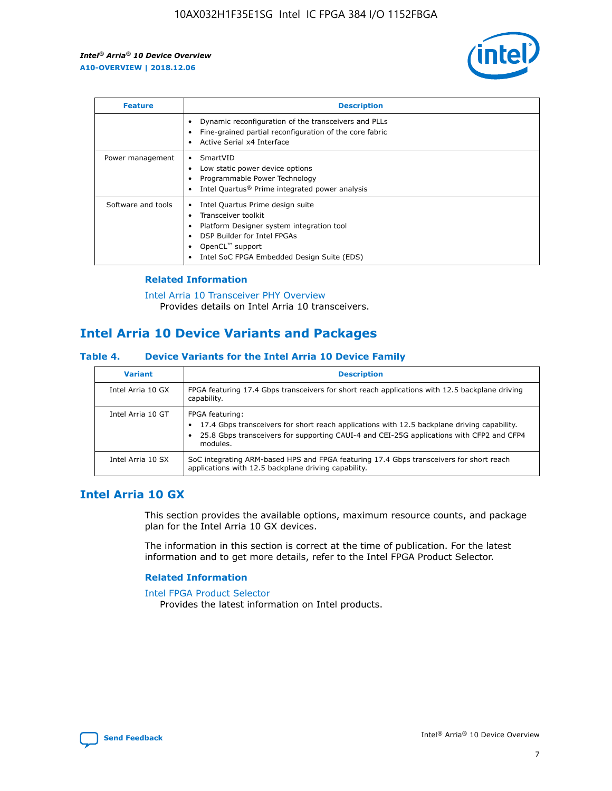

| <b>Feature</b>     | <b>Description</b>                                                                                                                                                                                               |
|--------------------|------------------------------------------------------------------------------------------------------------------------------------------------------------------------------------------------------------------|
|                    | Dynamic reconfiguration of the transceivers and PLLs<br>Fine-grained partial reconfiguration of the core fabric<br>Active Serial x4 Interface<br>$\bullet$                                                       |
| Power management   | SmartVID<br>Low static power device options<br>Programmable Power Technology<br>Intel Quartus <sup>®</sup> Prime integrated power analysis                                                                       |
| Software and tools | Intel Quartus Prime design suite<br>Transceiver toolkit<br>Platform Designer system integration tool<br>DSP Builder for Intel FPGAs<br>OpenCL <sup>™</sup> support<br>Intel SoC FPGA Embedded Design Suite (EDS) |

## **Related Information**

[Intel Arria 10 Transceiver PHY Overview](https://www.intel.com/content/www/us/en/programmable/documentation/nik1398707230472.html#nik1398706768037) Provides details on Intel Arria 10 transceivers.

## **Intel Arria 10 Device Variants and Packages**

#### **Table 4. Device Variants for the Intel Arria 10 Device Family**

| <b>Variant</b>    | <b>Description</b>                                                                                                                                                                                                     |
|-------------------|------------------------------------------------------------------------------------------------------------------------------------------------------------------------------------------------------------------------|
| Intel Arria 10 GX | FPGA featuring 17.4 Gbps transceivers for short reach applications with 12.5 backplane driving<br>capability.                                                                                                          |
| Intel Arria 10 GT | FPGA featuring:<br>17.4 Gbps transceivers for short reach applications with 12.5 backplane driving capability.<br>25.8 Gbps transceivers for supporting CAUI-4 and CEI-25G applications with CFP2 and CFP4<br>modules. |
| Intel Arria 10 SX | SoC integrating ARM-based HPS and FPGA featuring 17.4 Gbps transceivers for short reach<br>applications with 12.5 backplane driving capability.                                                                        |

## **Intel Arria 10 GX**

This section provides the available options, maximum resource counts, and package plan for the Intel Arria 10 GX devices.

The information in this section is correct at the time of publication. For the latest information and to get more details, refer to the Intel FPGA Product Selector.

#### **Related Information**

#### [Intel FPGA Product Selector](http://www.altera.com/products/selector/psg-selector.html) Provides the latest information on Intel products.

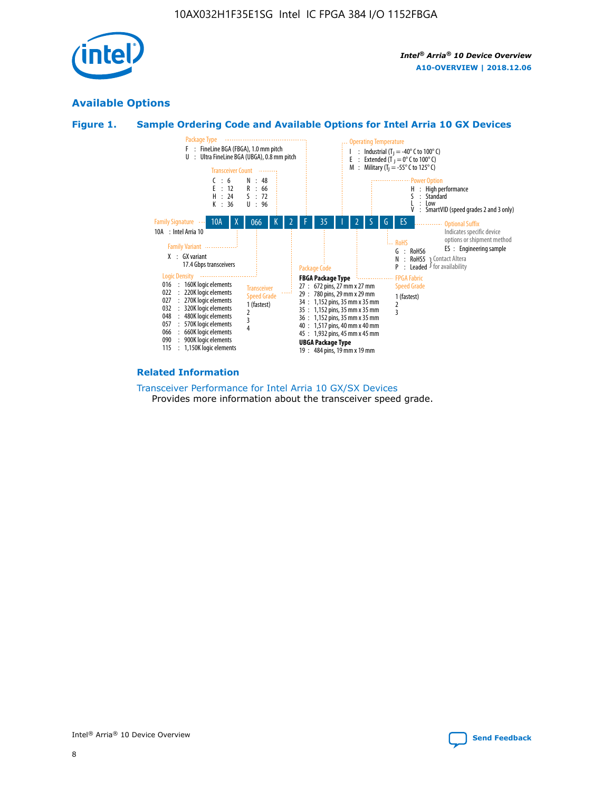

## **Available Options**





#### **Related Information**

[Transceiver Performance for Intel Arria 10 GX/SX Devices](https://www.intel.com/content/www/us/en/programmable/documentation/mcn1413182292568.html#mcn1413213965502) Provides more information about the transceiver speed grade.

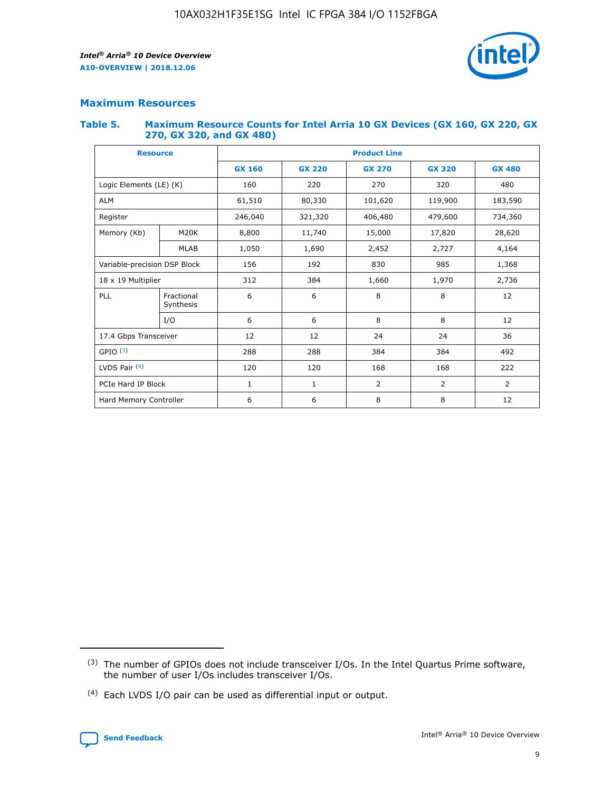

## **Maximum Resources**

#### **Table 5. Maximum Resource Counts for Intel Arria 10 GX Devices (GX 160, GX 220, GX 270, GX 320, and GX 480)**

| <b>Resource</b>              |                         | <b>Product Line</b> |                                                 |                |                |                |  |  |
|------------------------------|-------------------------|---------------------|-------------------------------------------------|----------------|----------------|----------------|--|--|
|                              |                         | <b>GX 160</b>       | <b>GX 220</b><br><b>GX 270</b><br><b>GX 320</b> |                |                | <b>GX 480</b>  |  |  |
| Logic Elements (LE) (K)      |                         | 160                 | 220                                             | 270            | 320            | 480            |  |  |
| <b>ALM</b>                   |                         | 61,510              | 80,330                                          | 101,620        | 119,900        | 183,590        |  |  |
| Register                     |                         | 246,040             | 406,480<br>321,320                              |                | 479,600        | 734,360        |  |  |
| Memory (Kb)                  | M <sub>20</sub> K       | 8,800               | 11,740                                          | 15,000         | 17,820         | 28,620         |  |  |
|                              | <b>MLAB</b>             | 1,050               | 1,690                                           | 2,452          | 2,727          | 4,164          |  |  |
| Variable-precision DSP Block |                         | 156                 | 192                                             | 830            | 985            | 1,368          |  |  |
| 18 x 19 Multiplier           |                         | 312                 | 384                                             | 1,970<br>1,660 |                | 2,736          |  |  |
| PLL                          | Fractional<br>Synthesis | 6                   | 6                                               | 8              | 8              | 12             |  |  |
|                              | I/O                     | 6                   | 6                                               | 8              | 8              | 12             |  |  |
| 17.4 Gbps Transceiver        |                         | 12                  | 12                                              | 24             | 24             | 36             |  |  |
| GPIO <sup>(3)</sup>          |                         | 288                 | 288                                             | 384            | 384            |                |  |  |
| LVDS Pair $(4)$              |                         | 120                 | 120                                             | 168            | 168            | 222            |  |  |
| PCIe Hard IP Block           |                         | 1                   | 1                                               | 2              | $\overline{2}$ | $\overline{2}$ |  |  |
| Hard Memory Controller       |                         | 6                   | 6                                               | 8              | 8              | 12             |  |  |

<sup>(4)</sup> Each LVDS I/O pair can be used as differential input or output.



<sup>(3)</sup> The number of GPIOs does not include transceiver I/Os. In the Intel Quartus Prime software, the number of user I/Os includes transceiver I/Os.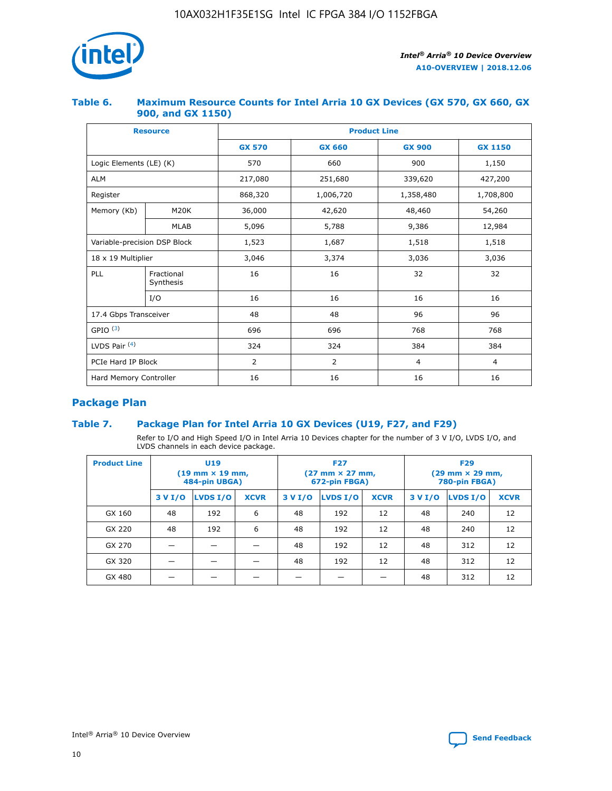

## **Table 6. Maximum Resource Counts for Intel Arria 10 GX Devices (GX 570, GX 660, GX 900, and GX 1150)**

|                              | <b>Resource</b>         | <b>Product Line</b> |                        |                |                |  |  |  |
|------------------------------|-------------------------|---------------------|------------------------|----------------|----------------|--|--|--|
|                              |                         | <b>GX 570</b>       | <b>GX 660</b>          | <b>GX 900</b>  | <b>GX 1150</b> |  |  |  |
| Logic Elements (LE) (K)      |                         | 570                 | 660                    | 900            | 1,150          |  |  |  |
| <b>ALM</b>                   |                         | 217,080             | 251,680                | 339,620        | 427,200        |  |  |  |
| Register                     |                         | 868,320             | 1,006,720<br>1,358,480 |                | 1,708,800      |  |  |  |
| Memory (Kb)                  | <b>M20K</b>             | 36,000              | 42,620                 | 48,460         | 54,260         |  |  |  |
|                              | <b>MLAB</b>             | 5,096               | 5,788                  | 9,386          | 12,984         |  |  |  |
| Variable-precision DSP Block |                         | 1,523               | 1,687                  | 1,518          | 1,518          |  |  |  |
| $18 \times 19$ Multiplier    |                         | 3,046               | 3,374                  | 3,036          | 3,036          |  |  |  |
| PLL                          | Fractional<br>Synthesis | 16                  | 16                     | 32             | 32             |  |  |  |
|                              | I/O                     | 16                  | 16                     | 16             | 16             |  |  |  |
| 17.4 Gbps Transceiver        |                         | 48                  | 48<br>96               |                | 96             |  |  |  |
| GPIO <sup>(3)</sup>          |                         | 696                 | 696                    | 768            | 768            |  |  |  |
| LVDS Pair $(4)$              |                         | 324                 | 324                    | 384            | 384            |  |  |  |
| PCIe Hard IP Block           |                         | 2                   | $\overline{2}$         | $\overline{4}$ | 4              |  |  |  |
| Hard Memory Controller       |                         | 16                  | 16                     | 16             | 16             |  |  |  |

## **Package Plan**

## **Table 7. Package Plan for Intel Arria 10 GX Devices (U19, F27, and F29)**

Refer to I/O and High Speed I/O in Intel Arria 10 Devices chapter for the number of 3 V I/O, LVDS I/O, and LVDS channels in each device package.

| <b>Product Line</b> | <b>U19</b><br>$(19 \text{ mm} \times 19 \text{ mm})$<br>484-pin UBGA) |          |             | <b>F27</b><br>(27 mm × 27 mm,<br>672-pin FBGA) |                 |             | <b>F29</b><br>(29 mm × 29 mm,<br>780-pin FBGA) |          |             |  |
|---------------------|-----------------------------------------------------------------------|----------|-------------|------------------------------------------------|-----------------|-------------|------------------------------------------------|----------|-------------|--|
|                     | 3 V I/O                                                               | LVDS I/O | <b>XCVR</b> | 3 V I/O                                        | <b>LVDS I/O</b> | <b>XCVR</b> | 3 V I/O                                        | LVDS I/O | <b>XCVR</b> |  |
| GX 160              | 48                                                                    | 192      | 6           | 48                                             | 192             | 12          | 48                                             | 240      | 12          |  |
| GX 220              | 48                                                                    | 192      | 6           | 48                                             | 192             | 12          | 48                                             | 240      | 12          |  |
| GX 270              |                                                                       |          |             | 48                                             | 192             | 12          | 48                                             | 312      | 12          |  |
| GX 320              |                                                                       |          |             | 48                                             | 192             | 12          | 48                                             | 312      | 12          |  |
| GX 480              |                                                                       |          |             |                                                |                 |             | 48                                             | 312      | 12          |  |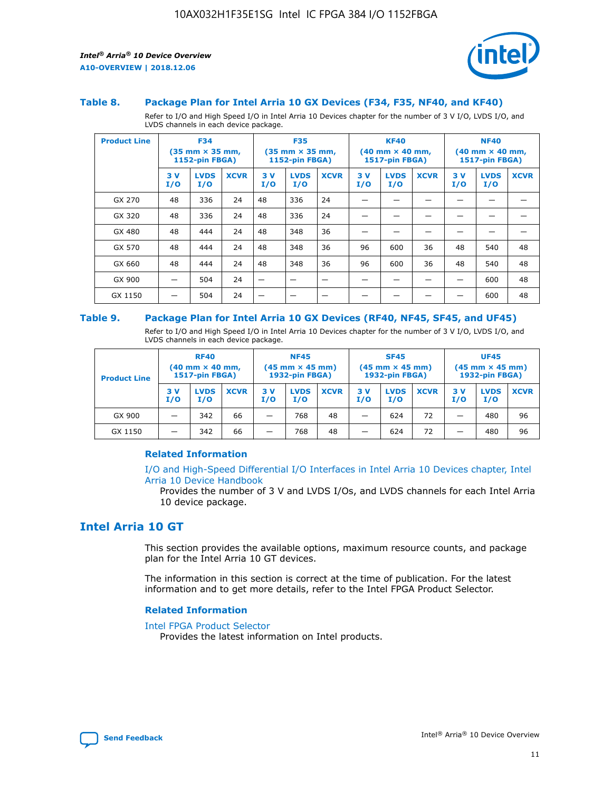

#### **Table 8. Package Plan for Intel Arria 10 GX Devices (F34, F35, NF40, and KF40)**

Refer to I/O and High Speed I/O in Intel Arria 10 Devices chapter for the number of 3 V I/O, LVDS I/O, and LVDS channels in each device package.

| <b>Product Line</b> | <b>F34</b><br>$(35 \text{ mm} \times 35 \text{ mm})$<br><b>1152-pin FBGA)</b> |                    | <b>F35</b><br>$(35 \text{ mm} \times 35 \text{ mm})$<br><b>1152-pin FBGA)</b> |           | <b>KF40</b><br>$(40$ mm $\times$ 40 mm,<br>1517-pin FBGA) |             |           | <b>NF40</b><br>$(40 \text{ mm} \times 40 \text{ mm})$<br>1517-pin FBGA) |             |           |                    |             |
|---------------------|-------------------------------------------------------------------------------|--------------------|-------------------------------------------------------------------------------|-----------|-----------------------------------------------------------|-------------|-----------|-------------------------------------------------------------------------|-------------|-----------|--------------------|-------------|
|                     | 3V<br>I/O                                                                     | <b>LVDS</b><br>I/O | <b>XCVR</b>                                                                   | 3V<br>I/O | <b>LVDS</b><br>I/O                                        | <b>XCVR</b> | 3V<br>I/O | <b>LVDS</b><br>I/O                                                      | <b>XCVR</b> | 3V<br>I/O | <b>LVDS</b><br>I/O | <b>XCVR</b> |
| GX 270              | 48                                                                            | 336                | 24                                                                            | 48        | 336                                                       | 24          |           |                                                                         |             |           |                    |             |
| GX 320              | 48                                                                            | 336                | 24                                                                            | 48        | 336                                                       | 24          |           |                                                                         |             |           |                    |             |
| GX 480              | 48                                                                            | 444                | 24                                                                            | 48        | 348                                                       | 36          |           |                                                                         |             |           |                    |             |
| GX 570              | 48                                                                            | 444                | 24                                                                            | 48        | 348                                                       | 36          | 96        | 600                                                                     | 36          | 48        | 540                | 48          |
| GX 660              | 48                                                                            | 444                | 24                                                                            | 48        | 348                                                       | 36          | 96        | 600                                                                     | 36          | 48        | 540                | 48          |
| GX 900              |                                                                               | 504                | 24                                                                            | –         |                                                           | -           |           |                                                                         |             |           | 600                | 48          |
| GX 1150             |                                                                               | 504                | 24                                                                            |           |                                                           |             |           |                                                                         |             |           | 600                | 48          |

#### **Table 9. Package Plan for Intel Arria 10 GX Devices (RF40, NF45, SF45, and UF45)**

Refer to I/O and High Speed I/O in Intel Arria 10 Devices chapter for the number of 3 V I/O, LVDS I/O, and LVDS channels in each device package.

| <b>Product Line</b> | <b>RF40</b><br>$(40$ mm $\times$ 40 mm,<br>1517-pin FBGA) |                    |             | <b>NF45</b><br>$(45 \text{ mm} \times 45 \text{ mm})$<br><b>1932-pin FBGA)</b> |                    |             | <b>SF45</b><br>$(45 \text{ mm} \times 45 \text{ mm})$<br><b>1932-pin FBGA)</b> |                    |             | <b>UF45</b><br>$(45 \text{ mm} \times 45 \text{ mm})$<br><b>1932-pin FBGA)</b> |                    |             |
|---------------------|-----------------------------------------------------------|--------------------|-------------|--------------------------------------------------------------------------------|--------------------|-------------|--------------------------------------------------------------------------------|--------------------|-------------|--------------------------------------------------------------------------------|--------------------|-------------|
|                     | 3V<br>I/O                                                 | <b>LVDS</b><br>I/O | <b>XCVR</b> | 3 V<br>I/O                                                                     | <b>LVDS</b><br>I/O | <b>XCVR</b> | 3 V<br>I/O                                                                     | <b>LVDS</b><br>I/O | <b>XCVR</b> | 3V<br>I/O                                                                      | <b>LVDS</b><br>I/O | <b>XCVR</b> |
| GX 900              |                                                           | 342                | 66          | _                                                                              | 768                | 48          |                                                                                | 624                | 72          |                                                                                | 480                | 96          |
| GX 1150             |                                                           | 342                | 66          | _                                                                              | 768                | 48          |                                                                                | 624                | 72          |                                                                                | 480                | 96          |

## **Related Information**

[I/O and High-Speed Differential I/O Interfaces in Intel Arria 10 Devices chapter, Intel](https://www.intel.com/content/www/us/en/programmable/documentation/sam1403482614086.html#sam1403482030321) [Arria 10 Device Handbook](https://www.intel.com/content/www/us/en/programmable/documentation/sam1403482614086.html#sam1403482030321)

Provides the number of 3 V and LVDS I/Os, and LVDS channels for each Intel Arria 10 device package.

## **Intel Arria 10 GT**

This section provides the available options, maximum resource counts, and package plan for the Intel Arria 10 GT devices.

The information in this section is correct at the time of publication. For the latest information and to get more details, refer to the Intel FPGA Product Selector.

#### **Related Information**

#### [Intel FPGA Product Selector](http://www.altera.com/products/selector/psg-selector.html)

Provides the latest information on Intel products.

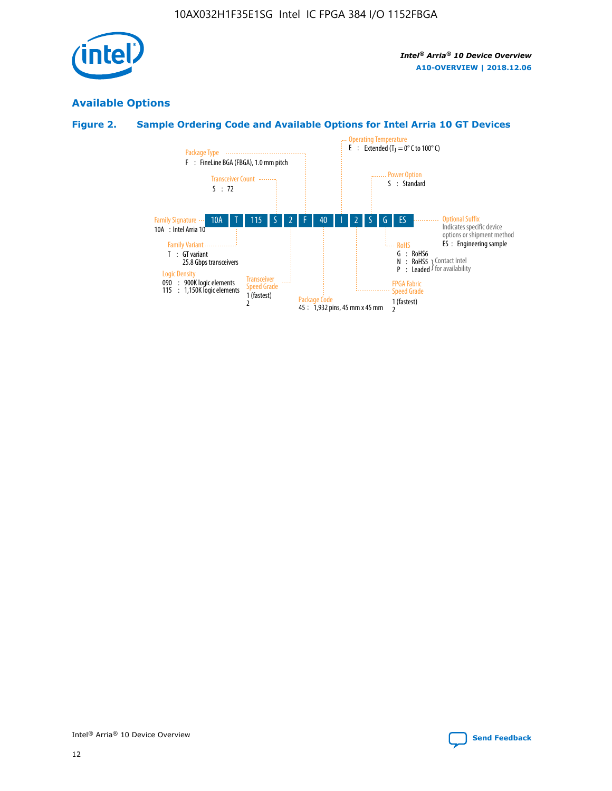

## **Available Options**

## **Figure 2. Sample Ordering Code and Available Options for Intel Arria 10 GT Devices**

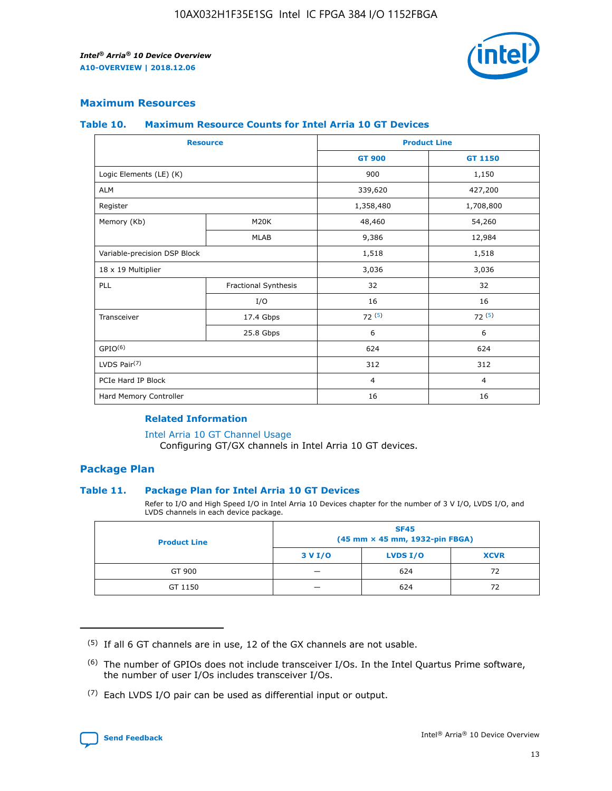

## **Maximum Resources**

#### **Table 10. Maximum Resource Counts for Intel Arria 10 GT Devices**

| <b>Resource</b>              |                      |                | <b>Product Line</b> |  |
|------------------------------|----------------------|----------------|---------------------|--|
|                              |                      | <b>GT 900</b>  | <b>GT 1150</b>      |  |
| Logic Elements (LE) (K)      |                      | 900            | 1,150               |  |
| <b>ALM</b>                   |                      | 339,620        | 427,200             |  |
| Register                     |                      | 1,358,480      | 1,708,800           |  |
| Memory (Kb)                  | M20K                 | 48,460         | 54,260              |  |
|                              | <b>MLAB</b>          | 9,386          | 12,984              |  |
| Variable-precision DSP Block |                      | 1,518          | 1,518               |  |
| 18 x 19 Multiplier           |                      | 3,036          | 3,036               |  |
| <b>PLL</b>                   | Fractional Synthesis | 32             | 32                  |  |
|                              | I/O                  | 16             | 16                  |  |
| Transceiver                  | 17.4 Gbps            | 72(5)          | 72(5)               |  |
|                              | 25.8 Gbps            | 6              | 6                   |  |
| GPIO <sup>(6)</sup>          |                      | 624            | 624                 |  |
| LVDS Pair $(7)$              |                      | 312            | 312                 |  |
| PCIe Hard IP Block           |                      | $\overline{4}$ | $\overline{4}$      |  |
| Hard Memory Controller       |                      | 16             | 16                  |  |

## **Related Information**

#### [Intel Arria 10 GT Channel Usage](https://www.intel.com/content/www/us/en/programmable/documentation/nik1398707230472.html#nik1398707008178)

Configuring GT/GX channels in Intel Arria 10 GT devices.

## **Package Plan**

## **Table 11. Package Plan for Intel Arria 10 GT Devices**

Refer to I/O and High Speed I/O in Intel Arria 10 Devices chapter for the number of 3 V I/O, LVDS I/O, and LVDS channels in each device package.

| <b>Product Line</b> | <b>SF45</b><br>(45 mm × 45 mm, 1932-pin FBGA) |                 |             |  |  |  |
|---------------------|-----------------------------------------------|-----------------|-------------|--|--|--|
|                     | 3 V I/O                                       | <b>LVDS I/O</b> | <b>XCVR</b> |  |  |  |
| GT 900              |                                               | 624             | 72          |  |  |  |
| GT 1150             |                                               | 624             | 72          |  |  |  |

<sup>(7)</sup> Each LVDS I/O pair can be used as differential input or output.



 $(5)$  If all 6 GT channels are in use, 12 of the GX channels are not usable.

<sup>(6)</sup> The number of GPIOs does not include transceiver I/Os. In the Intel Quartus Prime software, the number of user I/Os includes transceiver I/Os.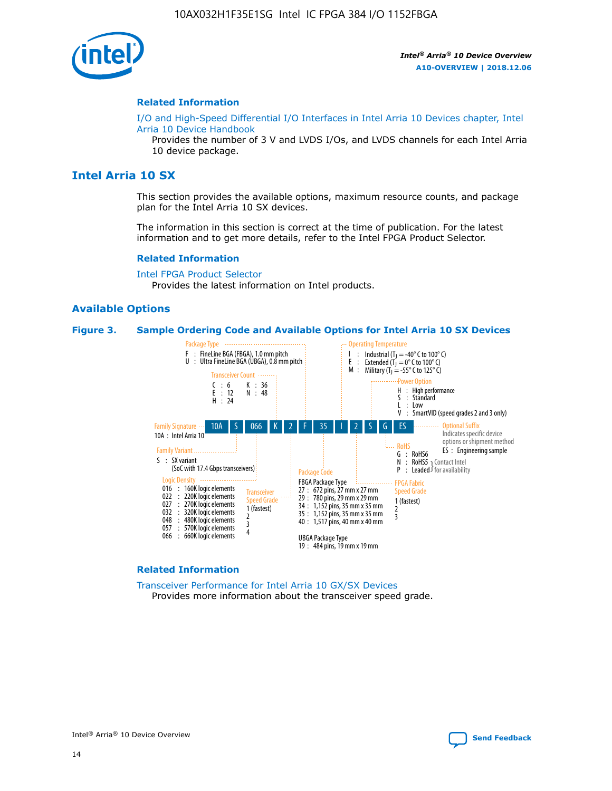

#### **Related Information**

[I/O and High-Speed Differential I/O Interfaces in Intel Arria 10 Devices chapter, Intel](https://www.intel.com/content/www/us/en/programmable/documentation/sam1403482614086.html#sam1403482030321) [Arria 10 Device Handbook](https://www.intel.com/content/www/us/en/programmable/documentation/sam1403482614086.html#sam1403482030321)

Provides the number of 3 V and LVDS I/Os, and LVDS channels for each Intel Arria 10 device package.

## **Intel Arria 10 SX**

This section provides the available options, maximum resource counts, and package plan for the Intel Arria 10 SX devices.

The information in this section is correct at the time of publication. For the latest information and to get more details, refer to the Intel FPGA Product Selector.

#### **Related Information**

[Intel FPGA Product Selector](http://www.altera.com/products/selector/psg-selector.html) Provides the latest information on Intel products.

## **Available Options**

#### **Figure 3. Sample Ordering Code and Available Options for Intel Arria 10 SX Devices**



#### **Related Information**

[Transceiver Performance for Intel Arria 10 GX/SX Devices](https://www.intel.com/content/www/us/en/programmable/documentation/mcn1413182292568.html#mcn1413213965502) Provides more information about the transceiver speed grade.

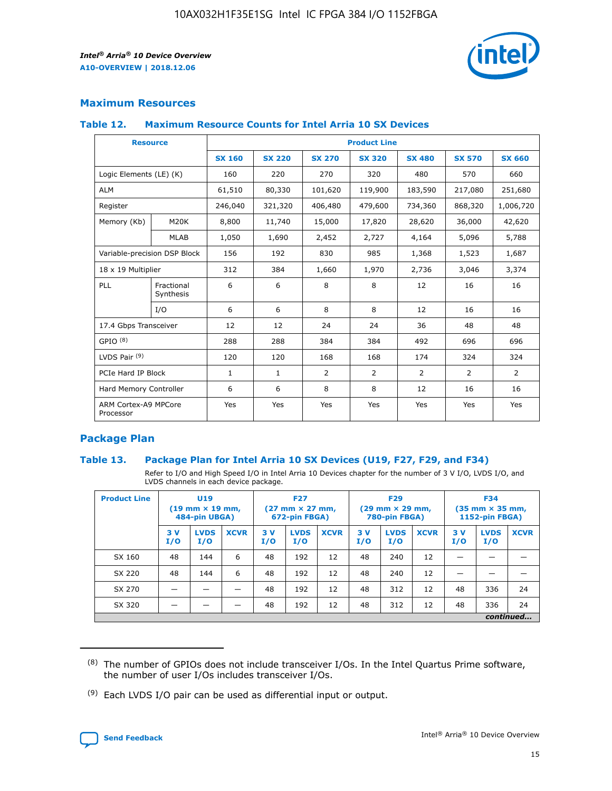

## **Maximum Resources**

#### **Table 12. Maximum Resource Counts for Intel Arria 10 SX Devices**

|                                   | <b>Resource</b>         | <b>Product Line</b> |               |                |                |                |                |                |  |  |  |
|-----------------------------------|-------------------------|---------------------|---------------|----------------|----------------|----------------|----------------|----------------|--|--|--|
|                                   |                         | <b>SX 160</b>       | <b>SX 220</b> | <b>SX 270</b>  | <b>SX 320</b>  | <b>SX 480</b>  | <b>SX 570</b>  | <b>SX 660</b>  |  |  |  |
| Logic Elements (LE) (K)           |                         | 160                 | 220           | 270            | 320            | 480            | 570            | 660            |  |  |  |
| <b>ALM</b>                        |                         | 61,510              | 80,330        | 101,620        | 119,900        | 183,590        | 217,080        | 251,680        |  |  |  |
| Register                          |                         | 246,040             | 321,320       | 406,480        | 479,600        | 734,360        | 868,320        | 1,006,720      |  |  |  |
| Memory (Kb)                       | M <sub>20</sub> K       | 8,800               | 11,740        | 15,000         | 17,820         | 28,620         | 36,000         | 42,620         |  |  |  |
|                                   | <b>MLAB</b>             | 1,050               | 1,690         | 2,452          | 2,727          | 4,164          | 5,096          | 5,788          |  |  |  |
| Variable-precision DSP Block      |                         | 156                 | 192           | 830            | 985            | 1,368          | 1,523          | 1,687          |  |  |  |
|                                   | 18 x 19 Multiplier      |                     | 384           | 1,660          | 1,970          | 2,736          | 3,046          | 3,374          |  |  |  |
| <b>PLL</b>                        | Fractional<br>Synthesis | 6                   | 6             | 8              | 8              | 12             | 16             | 16             |  |  |  |
|                                   | I/O                     | 6                   | 6             | 8              | 8              | 12             | 16             | 16             |  |  |  |
| 17.4 Gbps Transceiver             |                         | 12                  | 12            | 24             | 24             | 36             | 48             | 48             |  |  |  |
| GPIO <sup>(8)</sup>               |                         | 288                 | 288           | 384            | 384            | 492            | 696            | 696            |  |  |  |
| LVDS Pair $(9)$                   |                         | 120                 | 120           | 168            | 168            | 174            | 324            | 324            |  |  |  |
| PCIe Hard IP Block                |                         | $\mathbf{1}$        | $\mathbf{1}$  | $\overline{2}$ | $\overline{2}$ | $\overline{2}$ | $\overline{2}$ | $\overline{2}$ |  |  |  |
| Hard Memory Controller            |                         | 6                   | 6             | 8              | 8              | 12             | 16             | 16             |  |  |  |
| ARM Cortex-A9 MPCore<br>Processor |                         | Yes                 | Yes           | Yes            | Yes            | Yes            | Yes            | Yes            |  |  |  |

## **Package Plan**

## **Table 13. Package Plan for Intel Arria 10 SX Devices (U19, F27, F29, and F34)**

Refer to I/O and High Speed I/O in Intel Arria 10 Devices chapter for the number of 3 V I/O, LVDS I/O, and LVDS channels in each device package.

| <b>Product Line</b> | U19<br>$(19 \text{ mm} \times 19 \text{ mm})$<br>484-pin UBGA) |                    |             | <b>F27</b><br>$(27 \text{ mm} \times 27 \text{ mm})$ .<br>672-pin FBGA) |                    | <b>F29</b><br>$(29 \text{ mm} \times 29 \text{ mm})$ .<br>780-pin FBGA) |            |                    | <b>F34</b><br>$(35 \text{ mm} \times 35 \text{ mm})$<br><b>1152-pin FBGA)</b> |           |                    |             |
|---------------------|----------------------------------------------------------------|--------------------|-------------|-------------------------------------------------------------------------|--------------------|-------------------------------------------------------------------------|------------|--------------------|-------------------------------------------------------------------------------|-----------|--------------------|-------------|
|                     | 3V<br>I/O                                                      | <b>LVDS</b><br>I/O | <b>XCVR</b> | 3V<br>I/O                                                               | <b>LVDS</b><br>I/O | <b>XCVR</b>                                                             | 3 V<br>I/O | <b>LVDS</b><br>I/O | <b>XCVR</b>                                                                   | 3V<br>I/O | <b>LVDS</b><br>I/O | <b>XCVR</b> |
| SX 160              | 48                                                             | 144                | 6           | 48                                                                      | 192                | 12                                                                      | 48         | 240                | 12                                                                            |           |                    |             |
| SX 220              | 48                                                             | 144                | 6           | 48                                                                      | 192                | 12                                                                      | 48         | 240                | 12                                                                            |           |                    |             |
| SX 270              |                                                                |                    |             | 48                                                                      | 192                | 12                                                                      | 48         | 312                | 12                                                                            | 48        | 336                | 24          |
| SX 320              |                                                                |                    |             | 48                                                                      | 192                | 12                                                                      | 48         | 312                | 12                                                                            | 48        | 336                | 24          |
|                     |                                                                | continued          |             |                                                                         |                    |                                                                         |            |                    |                                                                               |           |                    |             |

 $(8)$  The number of GPIOs does not include transceiver I/Os. In the Intel Quartus Prime software, the number of user I/Os includes transceiver I/Os.

 $(9)$  Each LVDS I/O pair can be used as differential input or output.

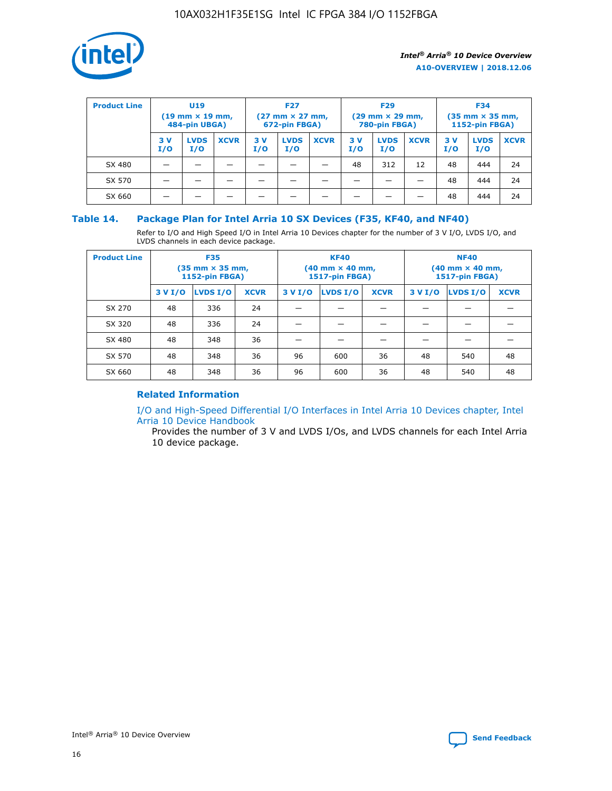

| <b>Product Line</b> | U <sub>19</sub><br>$(19$ mm $\times$ 19 mm,<br>484-pin UBGA) |                    | <b>F27</b><br>$(27 \text{ mm} \times 27 \text{ mm})$<br>672-pin FBGA) |           |                    | <b>F29</b><br>$(29 \text{ mm} \times 29 \text{ mm})$<br>780-pin FBGA) |           |                    | <b>F34</b><br>$(35$ mm $\times$ 35 mm,<br>1152-pin FBGA) |           |                    |             |
|---------------------|--------------------------------------------------------------|--------------------|-----------------------------------------------------------------------|-----------|--------------------|-----------------------------------------------------------------------|-----------|--------------------|----------------------------------------------------------|-----------|--------------------|-------------|
|                     | 3 V<br>I/O                                                   | <b>LVDS</b><br>I/O | <b>XCVR</b>                                                           | 3V<br>I/O | <b>LVDS</b><br>I/O | <b>XCVR</b>                                                           | 3V<br>I/O | <b>LVDS</b><br>I/O | <b>XCVR</b>                                              | 3V<br>I/O | <b>LVDS</b><br>I/O | <b>XCVR</b> |
| SX 480              |                                                              |                    |                                                                       |           |                    |                                                                       | 48        | 312                | 12                                                       | 48        | 444                | 24          |
| SX 570              |                                                              |                    |                                                                       |           |                    |                                                                       |           |                    |                                                          | 48        | 444                | 24          |
| SX 660              |                                                              |                    |                                                                       |           |                    |                                                                       |           |                    |                                                          | 48        | 444                | 24          |

## **Table 14. Package Plan for Intel Arria 10 SX Devices (F35, KF40, and NF40)**

Refer to I/O and High Speed I/O in Intel Arria 10 Devices chapter for the number of 3 V I/O, LVDS I/O, and LVDS channels in each device package.

| <b>Product Line</b> | <b>F35</b><br>$(35 \text{ mm} \times 35 \text{ mm})$<br><b>1152-pin FBGA)</b> |          |             |                                           | <b>KF40</b><br>(40 mm × 40 mm,<br>1517-pin FBGA) |    | <b>NF40</b><br>$(40 \text{ mm} \times 40 \text{ mm})$<br>1517-pin FBGA) |          |             |  |
|---------------------|-------------------------------------------------------------------------------|----------|-------------|-------------------------------------------|--------------------------------------------------|----|-------------------------------------------------------------------------|----------|-------------|--|
|                     | 3 V I/O                                                                       | LVDS I/O | <b>XCVR</b> | <b>LVDS I/O</b><br><b>XCVR</b><br>3 V I/O |                                                  |    | 3 V I/O                                                                 | LVDS I/O | <b>XCVR</b> |  |
| SX 270              | 48                                                                            | 336      | 24          |                                           |                                                  |    |                                                                         |          |             |  |
| SX 320              | 48                                                                            | 336      | 24          |                                           |                                                  |    |                                                                         |          |             |  |
| SX 480              | 48                                                                            | 348      | 36          |                                           |                                                  |    |                                                                         |          |             |  |
| SX 570              | 48                                                                            | 348      | 36          | 96                                        | 600                                              | 36 | 48                                                                      | 540      | 48          |  |
| SX 660              | 48                                                                            | 348      | 36          | 96                                        | 600                                              | 36 | 48                                                                      | 540      | 48          |  |

## **Related Information**

[I/O and High-Speed Differential I/O Interfaces in Intel Arria 10 Devices chapter, Intel](https://www.intel.com/content/www/us/en/programmable/documentation/sam1403482614086.html#sam1403482030321) [Arria 10 Device Handbook](https://www.intel.com/content/www/us/en/programmable/documentation/sam1403482614086.html#sam1403482030321)

Provides the number of 3 V and LVDS I/Os, and LVDS channels for each Intel Arria 10 device package.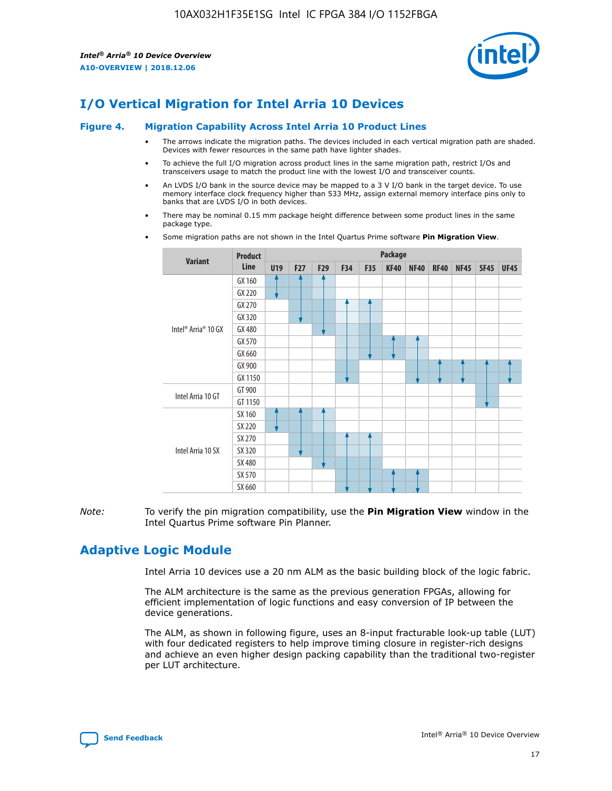

# **I/O Vertical Migration for Intel Arria 10 Devices**

#### **Figure 4. Migration Capability Across Intel Arria 10 Product Lines**

- The arrows indicate the migration paths. The devices included in each vertical migration path are shaded. Devices with fewer resources in the same path have lighter shades.
- To achieve the full I/O migration across product lines in the same migration path, restrict I/Os and transceivers usage to match the product line with the lowest I/O and transceiver counts.
- An LVDS I/O bank in the source device may be mapped to a 3 V I/O bank in the target device. To use memory interface clock frequency higher than 533 MHz, assign external memory interface pins only to banks that are LVDS I/O in both devices.
- There may be nominal 0.15 mm package height difference between some product lines in the same package type.
	- **Variant Product Line Package U19 F27 F29 F34 F35 KF40 NF40 RF40 NF45 SF45 UF45** Intel® Arria® 10 GX GX 160 GX 220 GX 270 GX 320 GX 480 GX 570 GX 660 GX 900 GX 1150 Intel Arria 10 GT GT 900 GT 1150 Intel Arria 10 SX SX 160 SX 220 SX 270 SX 320 SX 480 SX 570 SX 660
- Some migration paths are not shown in the Intel Quartus Prime software **Pin Migration View**.

*Note:* To verify the pin migration compatibility, use the **Pin Migration View** window in the Intel Quartus Prime software Pin Planner.

## **Adaptive Logic Module**

Intel Arria 10 devices use a 20 nm ALM as the basic building block of the logic fabric.

The ALM architecture is the same as the previous generation FPGAs, allowing for efficient implementation of logic functions and easy conversion of IP between the device generations.

The ALM, as shown in following figure, uses an 8-input fracturable look-up table (LUT) with four dedicated registers to help improve timing closure in register-rich designs and achieve an even higher design packing capability than the traditional two-register per LUT architecture.

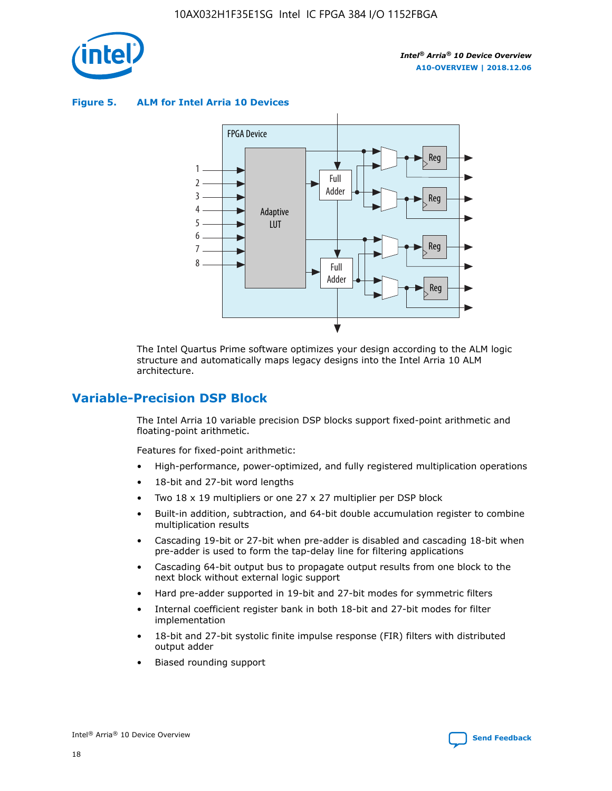

**Figure 5. ALM for Intel Arria 10 Devices**



The Intel Quartus Prime software optimizes your design according to the ALM logic structure and automatically maps legacy designs into the Intel Arria 10 ALM architecture.

## **Variable-Precision DSP Block**

The Intel Arria 10 variable precision DSP blocks support fixed-point arithmetic and floating-point arithmetic.

Features for fixed-point arithmetic:

- High-performance, power-optimized, and fully registered multiplication operations
- 18-bit and 27-bit word lengths
- Two 18 x 19 multipliers or one 27 x 27 multiplier per DSP block
- Built-in addition, subtraction, and 64-bit double accumulation register to combine multiplication results
- Cascading 19-bit or 27-bit when pre-adder is disabled and cascading 18-bit when pre-adder is used to form the tap-delay line for filtering applications
- Cascading 64-bit output bus to propagate output results from one block to the next block without external logic support
- Hard pre-adder supported in 19-bit and 27-bit modes for symmetric filters
- Internal coefficient register bank in both 18-bit and 27-bit modes for filter implementation
- 18-bit and 27-bit systolic finite impulse response (FIR) filters with distributed output adder
- Biased rounding support

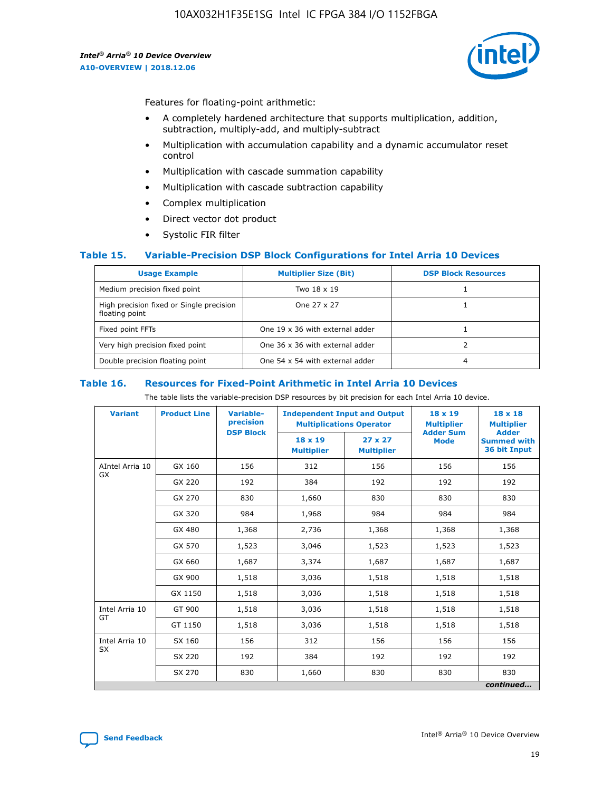

Features for floating-point arithmetic:

- A completely hardened architecture that supports multiplication, addition, subtraction, multiply-add, and multiply-subtract
- Multiplication with accumulation capability and a dynamic accumulator reset control
- Multiplication with cascade summation capability
- Multiplication with cascade subtraction capability
- Complex multiplication
- Direct vector dot product
- Systolic FIR filter

## **Table 15. Variable-Precision DSP Block Configurations for Intel Arria 10 Devices**

| <b>Usage Example</b>                                       | <b>Multiplier Size (Bit)</b>    | <b>DSP Block Resources</b> |
|------------------------------------------------------------|---------------------------------|----------------------------|
| Medium precision fixed point                               | Two 18 x 19                     |                            |
| High precision fixed or Single precision<br>floating point | One 27 x 27                     |                            |
| Fixed point FFTs                                           | One 19 x 36 with external adder |                            |
| Very high precision fixed point                            | One 36 x 36 with external adder |                            |
| Double precision floating point                            | One 54 x 54 with external adder | 4                          |

#### **Table 16. Resources for Fixed-Point Arithmetic in Intel Arria 10 Devices**

The table lists the variable-precision DSP resources by bit precision for each Intel Arria 10 device.

| <b>Variant</b>        | <b>Product Line</b> | <b>Variable-</b><br>precision<br><b>DSP Block</b> | <b>Independent Input and Output</b><br><b>Multiplications Operator</b> |                                     | 18 x 19<br><b>Multiplier</b><br><b>Adder Sum</b> | $18 \times 18$<br><b>Multiplier</b><br><b>Adder</b> |
|-----------------------|---------------------|---------------------------------------------------|------------------------------------------------------------------------|-------------------------------------|--------------------------------------------------|-----------------------------------------------------|
|                       |                     |                                                   | 18 x 19<br><b>Multiplier</b>                                           | $27 \times 27$<br><b>Multiplier</b> | <b>Mode</b>                                      | <b>Summed with</b><br>36 bit Input                  |
| AIntel Arria 10<br>GX | GX 160              | 156                                               | 312                                                                    | 156                                 | 156                                              | 156                                                 |
|                       | GX 220              | 192                                               | 384                                                                    | 192                                 | 192                                              | 192                                                 |
|                       | GX 270              | 830                                               | 1,660                                                                  | 830                                 | 830                                              | 830                                                 |
|                       | GX 320              | 984                                               | 1,968                                                                  | 984                                 | 984                                              | 984                                                 |
|                       | GX 480              | 1,368                                             | 2,736                                                                  | 1,368                               | 1,368                                            | 1,368                                               |
|                       | GX 570              | 1,523                                             | 3,046                                                                  | 1,523                               | 1,523                                            | 1,523                                               |
|                       | GX 660              | 1,687                                             | 3,374                                                                  | 1,687                               | 1,687                                            | 1,687                                               |
|                       | GX 900              | 1,518                                             | 3,036                                                                  | 1,518                               | 1,518                                            | 1,518                                               |
|                       | GX 1150             | 1,518                                             | 3,036                                                                  | 1,518                               | 1,518                                            | 1,518                                               |
| Intel Arria 10        | GT 900              | 1,518                                             | 3,036                                                                  | 1,518                               | 1,518                                            | 1,518                                               |
| GT                    | GT 1150             | 1,518                                             | 3,036                                                                  | 1,518                               | 1,518                                            | 1,518                                               |
| Intel Arria 10        | SX 160              | 156                                               | 312                                                                    | 156                                 | 156                                              | 156                                                 |
| <b>SX</b>             | SX 220              | 192                                               | 384                                                                    | 192                                 | 192                                              | 192                                                 |
|                       | SX 270              | 830                                               | 1,660                                                                  | 830                                 | 830                                              | 830                                                 |
|                       |                     |                                                   |                                                                        |                                     |                                                  | continued                                           |

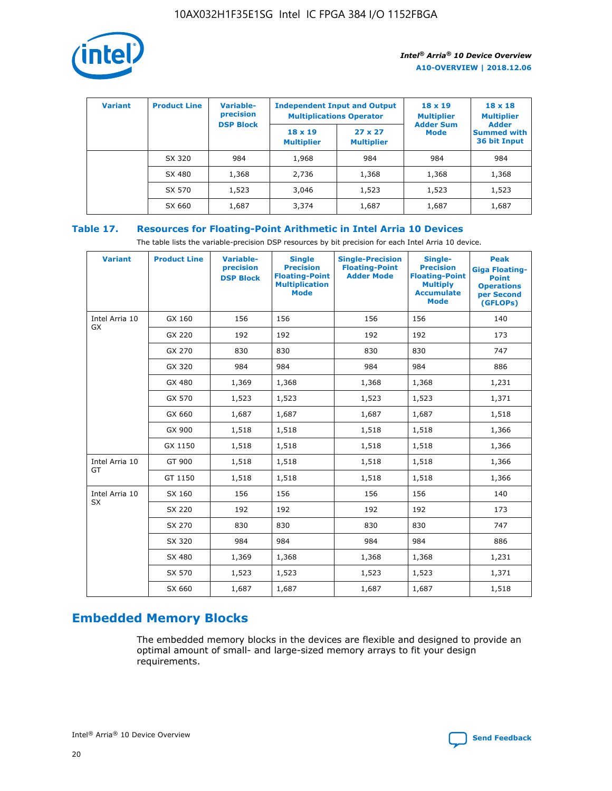

| <b>Variant</b> | <b>Product Line</b> | <b>Variable-</b><br>precision<br><b>DSP Block</b> | <b>Independent Input and Output</b><br><b>Multiplications Operator</b> |                                     | $18 \times 19$<br><b>Multiplier</b><br><b>Adder Sum</b> | $18 \times 18$<br><b>Multiplier</b><br><b>Adder</b> |  |
|----------------|---------------------|---------------------------------------------------|------------------------------------------------------------------------|-------------------------------------|---------------------------------------------------------|-----------------------------------------------------|--|
|                |                     |                                                   | $18 \times 19$<br><b>Multiplier</b>                                    | $27 \times 27$<br><b>Multiplier</b> | <b>Mode</b>                                             | <b>Summed with</b><br>36 bit Input                  |  |
|                | SX 320              | 984                                               | 1,968                                                                  | 984                                 | 984                                                     | 984                                                 |  |
|                | SX 480              | 1,368                                             | 2,736                                                                  | 1,368                               | 1,368                                                   | 1,368                                               |  |
|                | SX 570              | 1,523                                             | 3,046                                                                  | 1,523                               | 1,523                                                   | 1,523                                               |  |
|                | SX 660              | 1,687                                             | 3,374                                                                  | 1,687                               | 1,687                                                   | 1,687                                               |  |

## **Table 17. Resources for Floating-Point Arithmetic in Intel Arria 10 Devices**

The table lists the variable-precision DSP resources by bit precision for each Intel Arria 10 device.

| <b>Variant</b>              | <b>Product Line</b> | <b>Variable-</b><br>precision<br><b>DSP Block</b> | <b>Single</b><br><b>Precision</b><br><b>Floating-Point</b><br><b>Multiplication</b><br><b>Mode</b> | <b>Single-Precision</b><br><b>Floating-Point</b><br><b>Adder Mode</b> | Single-<br><b>Precision</b><br><b>Floating-Point</b><br><b>Multiply</b><br><b>Accumulate</b><br><b>Mode</b> | <b>Peak</b><br><b>Giga Floating-</b><br><b>Point</b><br><b>Operations</b><br>per Second<br>(GFLOPs) |
|-----------------------------|---------------------|---------------------------------------------------|----------------------------------------------------------------------------------------------------|-----------------------------------------------------------------------|-------------------------------------------------------------------------------------------------------------|-----------------------------------------------------------------------------------------------------|
| Intel Arria 10<br>GX        | GX 160              | 156                                               | 156                                                                                                | 156                                                                   | 156                                                                                                         | 140                                                                                                 |
|                             | GX 220              | 192                                               | 192                                                                                                | 192                                                                   | 192                                                                                                         | 173                                                                                                 |
|                             | GX 270              | 830                                               | 830                                                                                                | 830                                                                   | 830                                                                                                         | 747                                                                                                 |
|                             | GX 320              | 984                                               | 984                                                                                                | 984                                                                   | 984                                                                                                         | 886                                                                                                 |
|                             | GX 480              | 1,369                                             | 1,368                                                                                              | 1,368                                                                 | 1,368                                                                                                       | 1,231                                                                                               |
|                             | GX 570              | 1,523                                             | 1,523                                                                                              | 1,523                                                                 | 1,523                                                                                                       | 1,371                                                                                               |
|                             | GX 660              | 1,687                                             | 1,687                                                                                              | 1,687                                                                 | 1,687                                                                                                       | 1,518                                                                                               |
|                             | GX 900              | 1,518                                             | 1,518                                                                                              | 1,518                                                                 | 1,518                                                                                                       | 1,366                                                                                               |
|                             | GX 1150             | 1,518                                             | 1,518                                                                                              | 1,518                                                                 | 1,518                                                                                                       | 1,366                                                                                               |
| Intel Arria 10              | GT 900              | 1,518                                             | 1,518                                                                                              | 1,518                                                                 | 1,518                                                                                                       | 1,366                                                                                               |
| GT                          | GT 1150             | 1,518                                             | 1,518                                                                                              | 1,518                                                                 | 1,518                                                                                                       | 1,366                                                                                               |
| Intel Arria 10<br><b>SX</b> | SX 160              | 156                                               | 156                                                                                                | 156                                                                   | 156                                                                                                         | 140                                                                                                 |
|                             | SX 220              | 192                                               | 192                                                                                                | 192                                                                   | 192                                                                                                         | 173                                                                                                 |
|                             | SX 270              | 830                                               | 830                                                                                                | 830                                                                   | 830                                                                                                         | 747                                                                                                 |
|                             | SX 320              | 984                                               | 984                                                                                                | 984                                                                   | 984                                                                                                         | 886                                                                                                 |
|                             | SX 480              | 1,369                                             | 1,368                                                                                              | 1,368                                                                 | 1,368                                                                                                       | 1,231                                                                                               |
|                             | SX 570              | 1,523                                             | 1,523                                                                                              | 1,523                                                                 | 1,523                                                                                                       | 1,371                                                                                               |
|                             | SX 660              | 1,687                                             | 1,687                                                                                              | 1,687                                                                 | 1,687                                                                                                       | 1,518                                                                                               |

# **Embedded Memory Blocks**

The embedded memory blocks in the devices are flexible and designed to provide an optimal amount of small- and large-sized memory arrays to fit your design requirements.

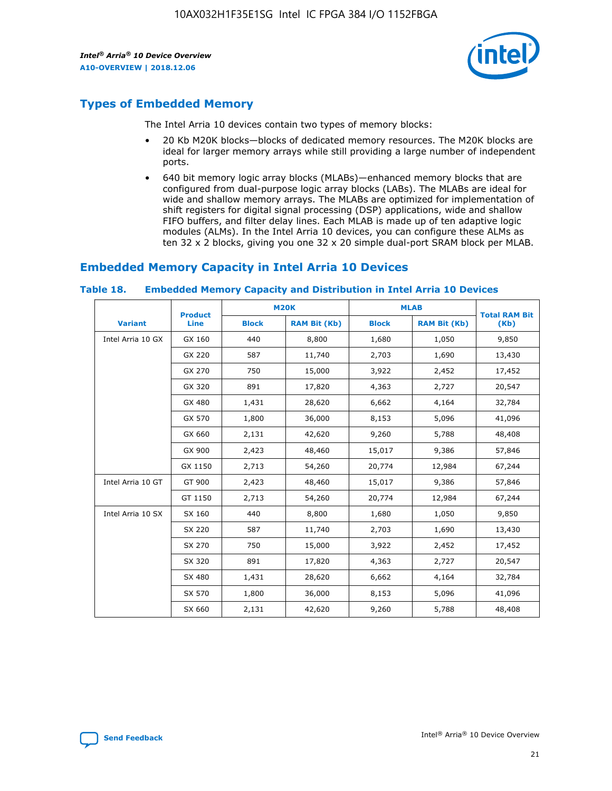

## **Types of Embedded Memory**

The Intel Arria 10 devices contain two types of memory blocks:

- 20 Kb M20K blocks—blocks of dedicated memory resources. The M20K blocks are ideal for larger memory arrays while still providing a large number of independent ports.
- 640 bit memory logic array blocks (MLABs)—enhanced memory blocks that are configured from dual-purpose logic array blocks (LABs). The MLABs are ideal for wide and shallow memory arrays. The MLABs are optimized for implementation of shift registers for digital signal processing (DSP) applications, wide and shallow FIFO buffers, and filter delay lines. Each MLAB is made up of ten adaptive logic modules (ALMs). In the Intel Arria 10 devices, you can configure these ALMs as ten 32 x 2 blocks, giving you one 32 x 20 simple dual-port SRAM block per MLAB.

## **Embedded Memory Capacity in Intel Arria 10 Devices**

|                   | <b>Product</b> |              | <b>M20K</b>         | <b>MLAB</b>  |                     | <b>Total RAM Bit</b> |
|-------------------|----------------|--------------|---------------------|--------------|---------------------|----------------------|
| <b>Variant</b>    | Line           | <b>Block</b> | <b>RAM Bit (Kb)</b> | <b>Block</b> | <b>RAM Bit (Kb)</b> | (Kb)                 |
| Intel Arria 10 GX | GX 160         | 440          | 8,800               | 1,680        | 1,050               | 9,850                |
|                   | GX 220         | 587          | 11,740              | 2,703        | 1,690               | 13,430               |
|                   | GX 270         | 750          | 15,000              | 3,922        | 2,452               | 17,452               |
|                   | GX 320         | 891          | 17,820              | 4,363        | 2,727               | 20,547               |
|                   | GX 480         | 1,431        | 28,620              | 6,662        | 4,164               | 32,784               |
|                   | GX 570         | 1,800        | 36,000              | 8,153        | 5,096               | 41,096               |
|                   | GX 660         | 2,131        | 42,620              | 9,260        | 5,788               | 48,408               |
|                   | GX 900         | 2,423        | 48,460              | 15,017       | 9,386               | 57,846               |
|                   | GX 1150        | 2,713        | 54,260              | 20,774       | 12,984              | 67,244               |
| Intel Arria 10 GT | GT 900         | 2,423        | 48,460              | 15,017       | 9,386               | 57,846               |
|                   | GT 1150        | 2,713        | 54,260              | 20,774       | 12,984              | 67,244               |
| Intel Arria 10 SX | SX 160         | 440          | 8,800               | 1,680        | 1,050               | 9,850                |
|                   | SX 220         | 587          | 11,740              | 2,703        | 1,690               | 13,430               |
|                   | SX 270         | 750          | 15,000              | 3,922        | 2,452               | 17,452               |
|                   | SX 320         | 891          | 17,820              | 4,363        | 2,727               | 20,547               |
|                   | SX 480         | 1,431        | 28,620              | 6,662        | 4,164               | 32,784               |
|                   | SX 570         | 1,800        | 36,000              | 8,153        | 5,096               | 41,096               |
|                   | SX 660         | 2,131        | 42,620              | 9,260        | 5,788               | 48,408               |

#### **Table 18. Embedded Memory Capacity and Distribution in Intel Arria 10 Devices**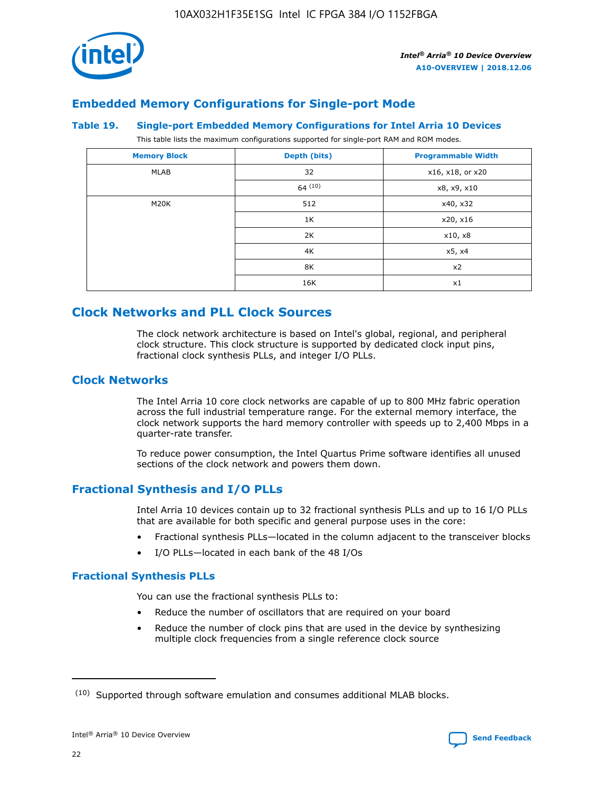

## **Embedded Memory Configurations for Single-port Mode**

#### **Table 19. Single-port Embedded Memory Configurations for Intel Arria 10 Devices**

This table lists the maximum configurations supported for single-port RAM and ROM modes.

| <b>Memory Block</b> | Depth (bits) | <b>Programmable Width</b> |
|---------------------|--------------|---------------------------|
| MLAB                | 32           | x16, x18, or x20          |
|                     | 64(10)       | x8, x9, x10               |
| M20K                | 512          | x40, x32                  |
|                     | 1K           | x20, x16                  |
|                     | 2K           | x10, x8                   |
|                     | 4K           | x5, x4                    |
|                     | 8K           | x2                        |
|                     | 16K          | x1                        |

## **Clock Networks and PLL Clock Sources**

The clock network architecture is based on Intel's global, regional, and peripheral clock structure. This clock structure is supported by dedicated clock input pins, fractional clock synthesis PLLs, and integer I/O PLLs.

## **Clock Networks**

The Intel Arria 10 core clock networks are capable of up to 800 MHz fabric operation across the full industrial temperature range. For the external memory interface, the clock network supports the hard memory controller with speeds up to 2,400 Mbps in a quarter-rate transfer.

To reduce power consumption, the Intel Quartus Prime software identifies all unused sections of the clock network and powers them down.

## **Fractional Synthesis and I/O PLLs**

Intel Arria 10 devices contain up to 32 fractional synthesis PLLs and up to 16 I/O PLLs that are available for both specific and general purpose uses in the core:

- Fractional synthesis PLLs—located in the column adjacent to the transceiver blocks
- I/O PLLs—located in each bank of the 48 I/Os

## **Fractional Synthesis PLLs**

You can use the fractional synthesis PLLs to:

- Reduce the number of oscillators that are required on your board
- Reduce the number of clock pins that are used in the device by synthesizing multiple clock frequencies from a single reference clock source

<sup>(10)</sup> Supported through software emulation and consumes additional MLAB blocks.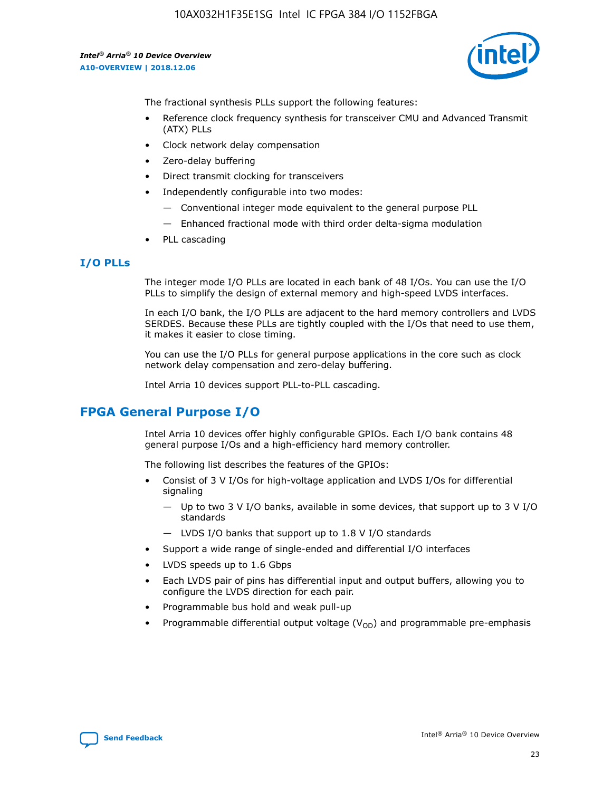

The fractional synthesis PLLs support the following features:

- Reference clock frequency synthesis for transceiver CMU and Advanced Transmit (ATX) PLLs
- Clock network delay compensation
- Zero-delay buffering
- Direct transmit clocking for transceivers
- Independently configurable into two modes:
	- Conventional integer mode equivalent to the general purpose PLL
	- Enhanced fractional mode with third order delta-sigma modulation
- PLL cascading

## **I/O PLLs**

The integer mode I/O PLLs are located in each bank of 48 I/Os. You can use the I/O PLLs to simplify the design of external memory and high-speed LVDS interfaces.

In each I/O bank, the I/O PLLs are adjacent to the hard memory controllers and LVDS SERDES. Because these PLLs are tightly coupled with the I/Os that need to use them, it makes it easier to close timing.

You can use the I/O PLLs for general purpose applications in the core such as clock network delay compensation and zero-delay buffering.

Intel Arria 10 devices support PLL-to-PLL cascading.

## **FPGA General Purpose I/O**

Intel Arria 10 devices offer highly configurable GPIOs. Each I/O bank contains 48 general purpose I/Os and a high-efficiency hard memory controller.

The following list describes the features of the GPIOs:

- Consist of 3 V I/Os for high-voltage application and LVDS I/Os for differential signaling
	- Up to two 3 V I/O banks, available in some devices, that support up to 3 V I/O standards
	- LVDS I/O banks that support up to 1.8 V I/O standards
- Support a wide range of single-ended and differential I/O interfaces
- LVDS speeds up to 1.6 Gbps
- Each LVDS pair of pins has differential input and output buffers, allowing you to configure the LVDS direction for each pair.
- Programmable bus hold and weak pull-up
- Programmable differential output voltage  $(V_{OD})$  and programmable pre-emphasis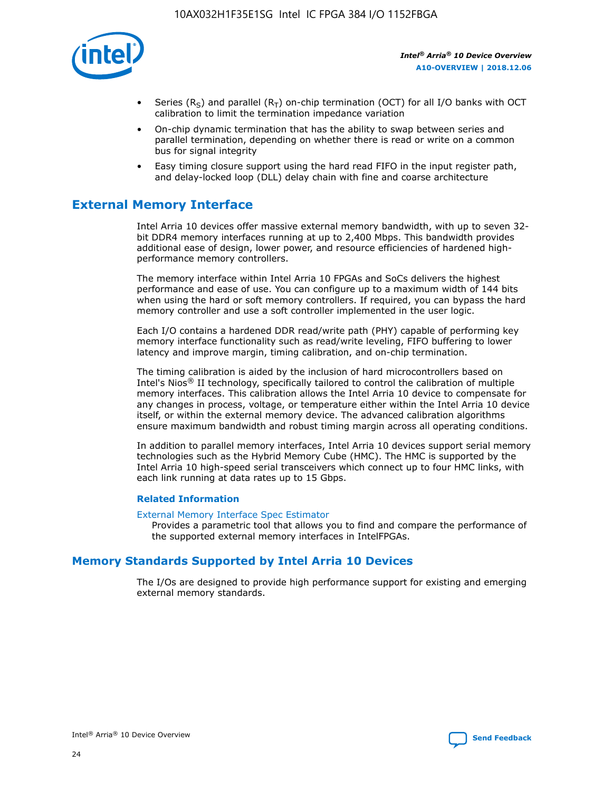

- Series (R<sub>S</sub>) and parallel (R<sub>T</sub>) on-chip termination (OCT) for all I/O banks with OCT calibration to limit the termination impedance variation
- On-chip dynamic termination that has the ability to swap between series and parallel termination, depending on whether there is read or write on a common bus for signal integrity
- Easy timing closure support using the hard read FIFO in the input register path, and delay-locked loop (DLL) delay chain with fine and coarse architecture

## **External Memory Interface**

Intel Arria 10 devices offer massive external memory bandwidth, with up to seven 32 bit DDR4 memory interfaces running at up to 2,400 Mbps. This bandwidth provides additional ease of design, lower power, and resource efficiencies of hardened highperformance memory controllers.

The memory interface within Intel Arria 10 FPGAs and SoCs delivers the highest performance and ease of use. You can configure up to a maximum width of 144 bits when using the hard or soft memory controllers. If required, you can bypass the hard memory controller and use a soft controller implemented in the user logic.

Each I/O contains a hardened DDR read/write path (PHY) capable of performing key memory interface functionality such as read/write leveling, FIFO buffering to lower latency and improve margin, timing calibration, and on-chip termination.

The timing calibration is aided by the inclusion of hard microcontrollers based on Intel's Nios® II technology, specifically tailored to control the calibration of multiple memory interfaces. This calibration allows the Intel Arria 10 device to compensate for any changes in process, voltage, or temperature either within the Intel Arria 10 device itself, or within the external memory device. The advanced calibration algorithms ensure maximum bandwidth and robust timing margin across all operating conditions.

In addition to parallel memory interfaces, Intel Arria 10 devices support serial memory technologies such as the Hybrid Memory Cube (HMC). The HMC is supported by the Intel Arria 10 high-speed serial transceivers which connect up to four HMC links, with each link running at data rates up to 15 Gbps.

## **Related Information**

#### [External Memory Interface Spec Estimator](http://www.altera.com/technology/memory/estimator/mem-emif-index.html)

Provides a parametric tool that allows you to find and compare the performance of the supported external memory interfaces in IntelFPGAs.

## **Memory Standards Supported by Intel Arria 10 Devices**

The I/Os are designed to provide high performance support for existing and emerging external memory standards.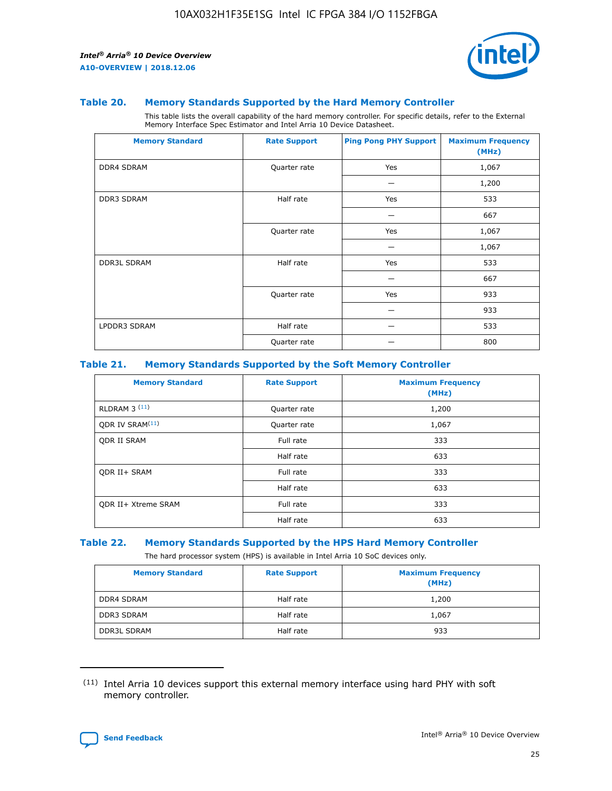

#### **Table 20. Memory Standards Supported by the Hard Memory Controller**

This table lists the overall capability of the hard memory controller. For specific details, refer to the External Memory Interface Spec Estimator and Intel Arria 10 Device Datasheet.

| <b>Memory Standard</b> | <b>Rate Support</b> | <b>Ping Pong PHY Support</b> | <b>Maximum Frequency</b><br>(MHz) |
|------------------------|---------------------|------------------------------|-----------------------------------|
| <b>DDR4 SDRAM</b>      | Quarter rate        | Yes                          | 1,067                             |
|                        |                     |                              | 1,200                             |
| <b>DDR3 SDRAM</b>      | Half rate           | Yes                          | 533                               |
|                        |                     |                              | 667                               |
|                        | Quarter rate        | Yes                          | 1,067                             |
|                        |                     |                              | 1,067                             |
| <b>DDR3L SDRAM</b>     | Half rate           | Yes                          | 533                               |
|                        |                     |                              | 667                               |
|                        | Quarter rate        | Yes                          | 933                               |
|                        |                     |                              | 933                               |
| LPDDR3 SDRAM           | Half rate           |                              | 533                               |
|                        | Quarter rate        |                              | 800                               |

## **Table 21. Memory Standards Supported by the Soft Memory Controller**

| <b>Memory Standard</b>      | <b>Rate Support</b> | <b>Maximum Frequency</b><br>(MHz) |
|-----------------------------|---------------------|-----------------------------------|
| <b>RLDRAM 3 (11)</b>        | Quarter rate        | 1,200                             |
| ODR IV SRAM <sup>(11)</sup> | Quarter rate        | 1,067                             |
| <b>ODR II SRAM</b>          | Full rate           | 333                               |
|                             | Half rate           | 633                               |
| <b>ODR II+ SRAM</b>         | Full rate           | 333                               |
|                             | Half rate           | 633                               |
| <b>ODR II+ Xtreme SRAM</b>  | Full rate           | 333                               |
|                             | Half rate           | 633                               |

#### **Table 22. Memory Standards Supported by the HPS Hard Memory Controller**

The hard processor system (HPS) is available in Intel Arria 10 SoC devices only.

| <b>Memory Standard</b> | <b>Rate Support</b> | <b>Maximum Frequency</b><br>(MHz) |
|------------------------|---------------------|-----------------------------------|
| <b>DDR4 SDRAM</b>      | Half rate           | 1,200                             |
| <b>DDR3 SDRAM</b>      | Half rate           | 1,067                             |
| <b>DDR3L SDRAM</b>     | Half rate           | 933                               |

<sup>(11)</sup> Intel Arria 10 devices support this external memory interface using hard PHY with soft memory controller.

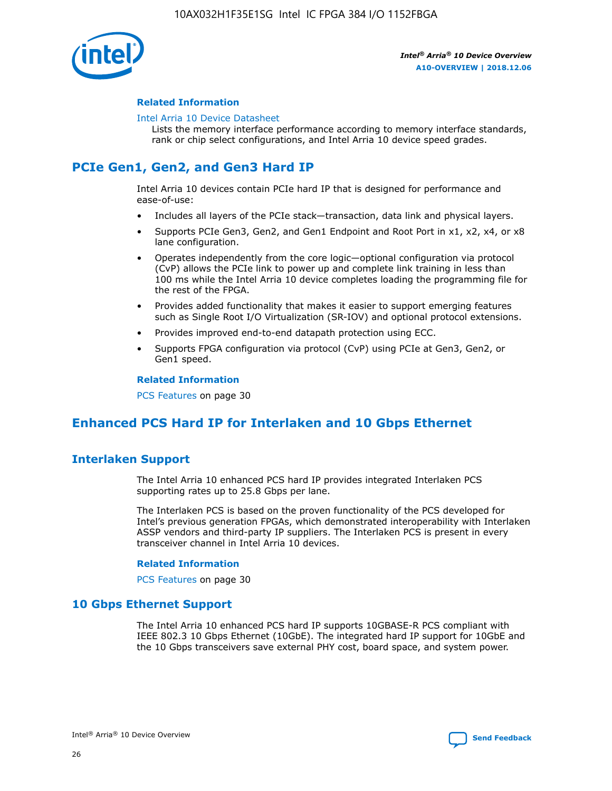

## **Related Information**

#### [Intel Arria 10 Device Datasheet](https://www.intel.com/content/www/us/en/programmable/documentation/mcn1413182292568.html#mcn1413182153340)

Lists the memory interface performance according to memory interface standards, rank or chip select configurations, and Intel Arria 10 device speed grades.

# **PCIe Gen1, Gen2, and Gen3 Hard IP**

Intel Arria 10 devices contain PCIe hard IP that is designed for performance and ease-of-use:

- Includes all layers of the PCIe stack—transaction, data link and physical layers.
- Supports PCIe Gen3, Gen2, and Gen1 Endpoint and Root Port in x1, x2, x4, or x8 lane configuration.
- Operates independently from the core logic—optional configuration via protocol (CvP) allows the PCIe link to power up and complete link training in less than 100 ms while the Intel Arria 10 device completes loading the programming file for the rest of the FPGA.
- Provides added functionality that makes it easier to support emerging features such as Single Root I/O Virtualization (SR-IOV) and optional protocol extensions.
- Provides improved end-to-end datapath protection using ECC.
- Supports FPGA configuration via protocol (CvP) using PCIe at Gen3, Gen2, or Gen1 speed.

#### **Related Information**

PCS Features on page 30

## **Enhanced PCS Hard IP for Interlaken and 10 Gbps Ethernet**

## **Interlaken Support**

The Intel Arria 10 enhanced PCS hard IP provides integrated Interlaken PCS supporting rates up to 25.8 Gbps per lane.

The Interlaken PCS is based on the proven functionality of the PCS developed for Intel's previous generation FPGAs, which demonstrated interoperability with Interlaken ASSP vendors and third-party IP suppliers. The Interlaken PCS is present in every transceiver channel in Intel Arria 10 devices.

## **Related Information**

PCS Features on page 30

## **10 Gbps Ethernet Support**

The Intel Arria 10 enhanced PCS hard IP supports 10GBASE-R PCS compliant with IEEE 802.3 10 Gbps Ethernet (10GbE). The integrated hard IP support for 10GbE and the 10 Gbps transceivers save external PHY cost, board space, and system power.

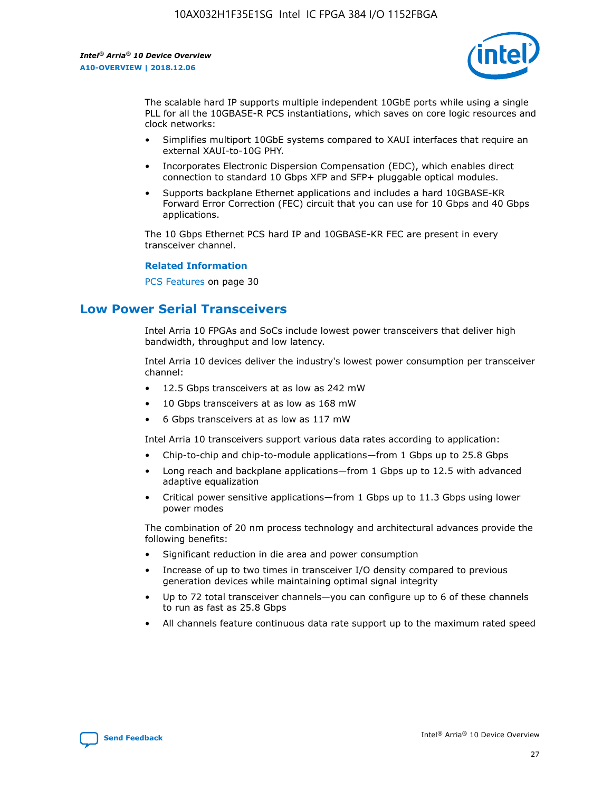

The scalable hard IP supports multiple independent 10GbE ports while using a single PLL for all the 10GBASE-R PCS instantiations, which saves on core logic resources and clock networks:

- Simplifies multiport 10GbE systems compared to XAUI interfaces that require an external XAUI-to-10G PHY.
- Incorporates Electronic Dispersion Compensation (EDC), which enables direct connection to standard 10 Gbps XFP and SFP+ pluggable optical modules.
- Supports backplane Ethernet applications and includes a hard 10GBASE-KR Forward Error Correction (FEC) circuit that you can use for 10 Gbps and 40 Gbps applications.

The 10 Gbps Ethernet PCS hard IP and 10GBASE-KR FEC are present in every transceiver channel.

#### **Related Information**

PCS Features on page 30

## **Low Power Serial Transceivers**

Intel Arria 10 FPGAs and SoCs include lowest power transceivers that deliver high bandwidth, throughput and low latency.

Intel Arria 10 devices deliver the industry's lowest power consumption per transceiver channel:

- 12.5 Gbps transceivers at as low as 242 mW
- 10 Gbps transceivers at as low as 168 mW
- 6 Gbps transceivers at as low as 117 mW

Intel Arria 10 transceivers support various data rates according to application:

- Chip-to-chip and chip-to-module applications—from 1 Gbps up to 25.8 Gbps
- Long reach and backplane applications—from 1 Gbps up to 12.5 with advanced adaptive equalization
- Critical power sensitive applications—from 1 Gbps up to 11.3 Gbps using lower power modes

The combination of 20 nm process technology and architectural advances provide the following benefits:

- Significant reduction in die area and power consumption
- Increase of up to two times in transceiver I/O density compared to previous generation devices while maintaining optimal signal integrity
- Up to 72 total transceiver channels—you can configure up to 6 of these channels to run as fast as 25.8 Gbps
- All channels feature continuous data rate support up to the maximum rated speed

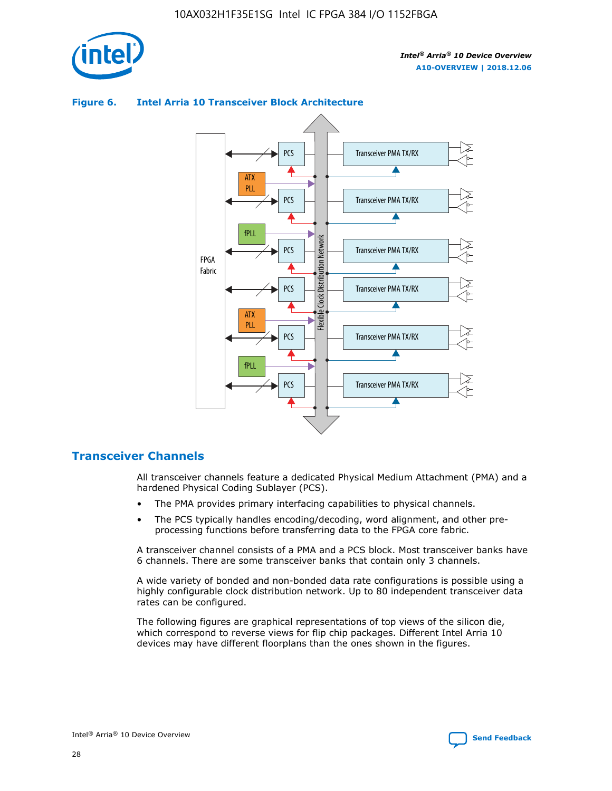



## **Figure 6. Intel Arria 10 Transceiver Block Architecture**

## **Transceiver Channels**

All transceiver channels feature a dedicated Physical Medium Attachment (PMA) and a hardened Physical Coding Sublayer (PCS).

- The PMA provides primary interfacing capabilities to physical channels.
- The PCS typically handles encoding/decoding, word alignment, and other preprocessing functions before transferring data to the FPGA core fabric.

A transceiver channel consists of a PMA and a PCS block. Most transceiver banks have 6 channels. There are some transceiver banks that contain only 3 channels.

A wide variety of bonded and non-bonded data rate configurations is possible using a highly configurable clock distribution network. Up to 80 independent transceiver data rates can be configured.

The following figures are graphical representations of top views of the silicon die, which correspond to reverse views for flip chip packages. Different Intel Arria 10 devices may have different floorplans than the ones shown in the figures.

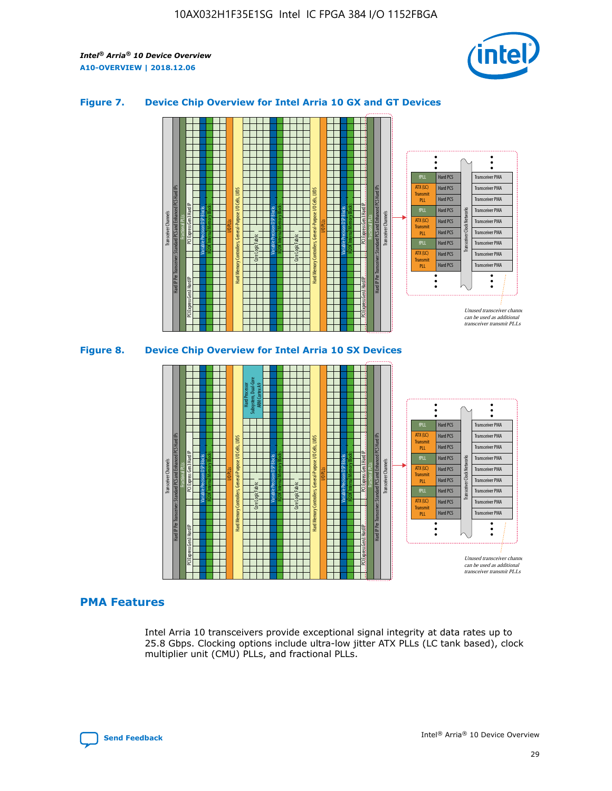

## **Figure 7. Device Chip Overview for Intel Arria 10 GX and GT Devices**



M20K Internal Memory Blocks Core Logic Fabric Transceiver Channels Hard IP Per Transceiver: Standard PCS and Enhanced PCS Hard IPs PCI Express Gen3 Hard IP Fractional PLLs M20K Internal Memory Blocks PCI Express Gen3 Hard IP Variable Precision DSP Blocks I/O PLLs Hard Memory Controllers, General-Purpose I/O Cells, LVDS Hard Processor Subsystem, Dual-Core ARM Cortex A9 M20K Internal Memory Blocks Variable Precision DSP Blocks M20K Internal Memory Blocks Core Logic Fabric I/O PLLs Hard Memory Controllers, General-Purpose I/O Cells, LVDS M20K Internal Memory Blocks Variable Precision DSP Blocks M20K Internal Memory Blocks Transceiver Channels Hard IP Per Transceiver: Standard PCS and Enhanced PCS Hard IPs PCI Express Gen3 Hard IP Fractional PLLs PCI Express Gen3 Hard IP Hard PCS Hard PCS Hard PCS Hard PCS Hard PCS Hard PCS Hard PCS Hard PCS Hard PCS Transceiver PMA Transceiver PMA Transceiver PMA Transceiver PMA Transceiver PMA Transceiver PMA Transceiver PMA Unused transceiver chann can be used as additional transceiver transmit PLLs Transceiver PMA Transceiver PMA Transceiver Clock Networks ATX (LC) **Transmit** PLL fPLL ATX (LC) Transmi PLL fPLL ATX (LC) **Transmit** PLL

## **PMA Features**

Intel Arria 10 transceivers provide exceptional signal integrity at data rates up to 25.8 Gbps. Clocking options include ultra-low jitter ATX PLLs (LC tank based), clock multiplier unit (CMU) PLLs, and fractional PLLs.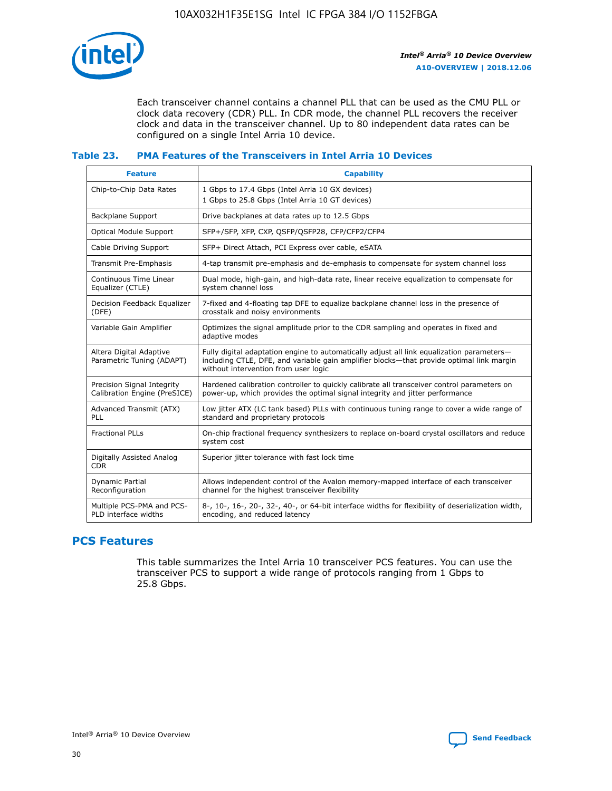

Each transceiver channel contains a channel PLL that can be used as the CMU PLL or clock data recovery (CDR) PLL. In CDR mode, the channel PLL recovers the receiver clock and data in the transceiver channel. Up to 80 independent data rates can be configured on a single Intel Arria 10 device.

## **Table 23. PMA Features of the Transceivers in Intel Arria 10 Devices**

| <b>Feature</b>                                             | <b>Capability</b>                                                                                                                                                                                                             |
|------------------------------------------------------------|-------------------------------------------------------------------------------------------------------------------------------------------------------------------------------------------------------------------------------|
| Chip-to-Chip Data Rates                                    | 1 Gbps to 17.4 Gbps (Intel Arria 10 GX devices)<br>1 Gbps to 25.8 Gbps (Intel Arria 10 GT devices)                                                                                                                            |
| <b>Backplane Support</b>                                   | Drive backplanes at data rates up to 12.5 Gbps                                                                                                                                                                                |
| <b>Optical Module Support</b>                              | SFP+/SFP, XFP, CXP, QSFP/QSFP28, CFP/CFP2/CFP4                                                                                                                                                                                |
| Cable Driving Support                                      | SFP+ Direct Attach, PCI Express over cable, eSATA                                                                                                                                                                             |
| Transmit Pre-Emphasis                                      | 4-tap transmit pre-emphasis and de-emphasis to compensate for system channel loss                                                                                                                                             |
| Continuous Time Linear<br>Equalizer (CTLE)                 | Dual mode, high-gain, and high-data rate, linear receive equalization to compensate for<br>system channel loss                                                                                                                |
| Decision Feedback Equalizer<br>(DFE)                       | 7-fixed and 4-floating tap DFE to equalize backplane channel loss in the presence of<br>crosstalk and noisy environments                                                                                                      |
| Variable Gain Amplifier                                    | Optimizes the signal amplitude prior to the CDR sampling and operates in fixed and<br>adaptive modes                                                                                                                          |
| Altera Digital Adaptive<br>Parametric Tuning (ADAPT)       | Fully digital adaptation engine to automatically adjust all link equalization parameters-<br>including CTLE, DFE, and variable gain amplifier blocks—that provide optimal link margin<br>without intervention from user logic |
| Precision Signal Integrity<br>Calibration Engine (PreSICE) | Hardened calibration controller to quickly calibrate all transceiver control parameters on<br>power-up, which provides the optimal signal integrity and jitter performance                                                    |
| Advanced Transmit (ATX)<br>PLL                             | Low jitter ATX (LC tank based) PLLs with continuous tuning range to cover a wide range of<br>standard and proprietary protocols                                                                                               |
| <b>Fractional PLLs</b>                                     | On-chip fractional frequency synthesizers to replace on-board crystal oscillators and reduce<br>system cost                                                                                                                   |
| Digitally Assisted Analog<br><b>CDR</b>                    | Superior jitter tolerance with fast lock time                                                                                                                                                                                 |
| Dynamic Partial<br>Reconfiguration                         | Allows independent control of the Avalon memory-mapped interface of each transceiver<br>channel for the highest transceiver flexibility                                                                                       |
| Multiple PCS-PMA and PCS-<br>PLD interface widths          | 8-, 10-, 16-, 20-, 32-, 40-, or 64-bit interface widths for flexibility of deserialization width,<br>encoding, and reduced latency                                                                                            |

## **PCS Features**

This table summarizes the Intel Arria 10 transceiver PCS features. You can use the transceiver PCS to support a wide range of protocols ranging from 1 Gbps to 25.8 Gbps.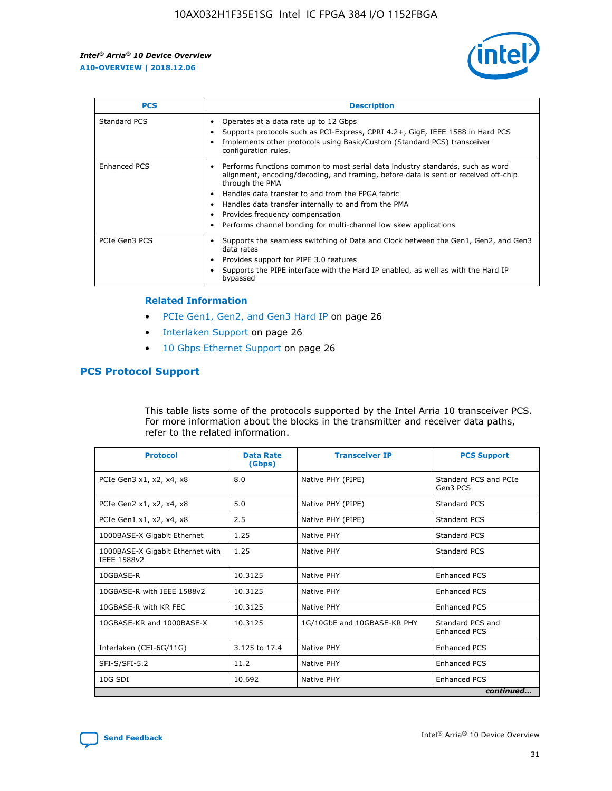

| <b>PCS</b>          | <b>Description</b>                                                                                                                                                                                                                                                                                                                                                                                             |
|---------------------|----------------------------------------------------------------------------------------------------------------------------------------------------------------------------------------------------------------------------------------------------------------------------------------------------------------------------------------------------------------------------------------------------------------|
| Standard PCS        | Operates at a data rate up to 12 Gbps<br>Supports protocols such as PCI-Express, CPRI 4.2+, GigE, IEEE 1588 in Hard PCS<br>Implements other protocols using Basic/Custom (Standard PCS) transceiver<br>configuration rules.                                                                                                                                                                                    |
| <b>Enhanced PCS</b> | Performs functions common to most serial data industry standards, such as word<br>alignment, encoding/decoding, and framing, before data is sent or received off-chip<br>through the PMA<br>• Handles data transfer to and from the FPGA fabric<br>Handles data transfer internally to and from the PMA<br>Provides frequency compensation<br>Performs channel bonding for multi-channel low skew applications |
| PCIe Gen3 PCS       | Supports the seamless switching of Data and Clock between the Gen1, Gen2, and Gen3<br>data rates<br>Provides support for PIPE 3.0 features<br>Supports the PIPE interface with the Hard IP enabled, as well as with the Hard IP<br>bypassed                                                                                                                                                                    |

#### **Related Information**

- PCIe Gen1, Gen2, and Gen3 Hard IP on page 26
- Interlaken Support on page 26
- 10 Gbps Ethernet Support on page 26

## **PCS Protocol Support**

This table lists some of the protocols supported by the Intel Arria 10 transceiver PCS. For more information about the blocks in the transmitter and receiver data paths, refer to the related information.

| <b>Protocol</b>                                 | <b>Data Rate</b><br>(Gbps) | <b>Transceiver IP</b>       | <b>PCS Support</b>                      |
|-------------------------------------------------|----------------------------|-----------------------------|-----------------------------------------|
| PCIe Gen3 x1, x2, x4, x8                        | 8.0                        | Native PHY (PIPE)           | Standard PCS and PCIe<br>Gen3 PCS       |
| PCIe Gen2 x1, x2, x4, x8                        | 5.0                        | Native PHY (PIPE)           | <b>Standard PCS</b>                     |
| PCIe Gen1 x1, x2, x4, x8                        | 2.5                        | Native PHY (PIPE)           | Standard PCS                            |
| 1000BASE-X Gigabit Ethernet                     | 1.25                       | Native PHY                  | <b>Standard PCS</b>                     |
| 1000BASE-X Gigabit Ethernet with<br>IEEE 1588v2 | 1.25                       | Native PHY                  | Standard PCS                            |
| 10GBASE-R                                       | 10.3125                    | Native PHY                  | <b>Enhanced PCS</b>                     |
| 10GBASE-R with IEEE 1588v2                      | 10.3125                    | Native PHY                  | <b>Enhanced PCS</b>                     |
| 10GBASE-R with KR FEC                           | 10.3125                    | Native PHY                  | <b>Enhanced PCS</b>                     |
| 10GBASE-KR and 1000BASE-X                       | 10.3125                    | 1G/10GbE and 10GBASE-KR PHY | Standard PCS and<br><b>Enhanced PCS</b> |
| Interlaken (CEI-6G/11G)                         | 3.125 to 17.4              | Native PHY                  | <b>Enhanced PCS</b>                     |
| SFI-S/SFI-5.2                                   | 11.2                       | Native PHY                  | <b>Enhanced PCS</b>                     |
| $10G$ SDI                                       | 10.692                     | Native PHY                  | <b>Enhanced PCS</b>                     |
|                                                 |                            |                             | continued                               |

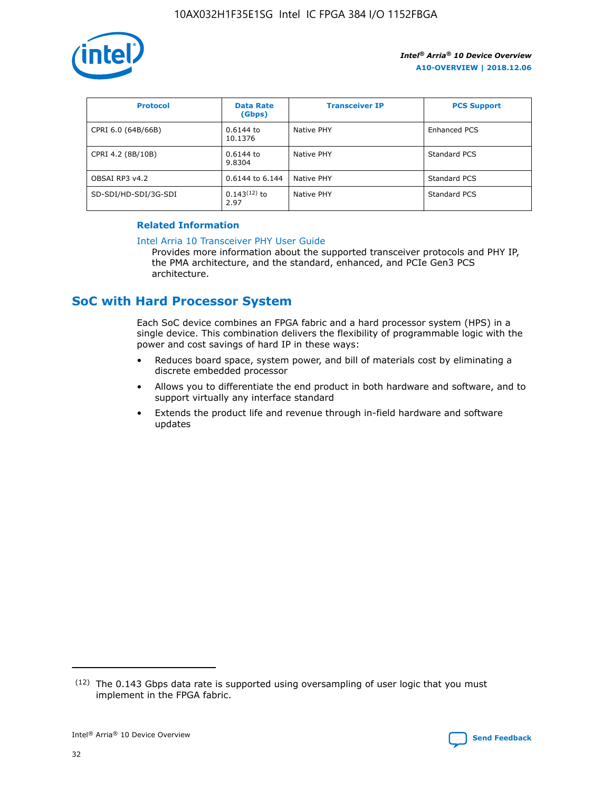

| <b>Protocol</b>      | <b>Data Rate</b><br>(Gbps) | <b>Transceiver IP</b> | <b>PCS Support</b> |
|----------------------|----------------------------|-----------------------|--------------------|
| CPRI 6.0 (64B/66B)   | 0.6144 to<br>10.1376       | Native PHY            | Enhanced PCS       |
| CPRI 4.2 (8B/10B)    | 0.6144 to<br>9.8304        | Native PHY            | Standard PCS       |
| OBSAI RP3 v4.2       | 0.6144 to 6.144            | Native PHY            | Standard PCS       |
| SD-SDI/HD-SDI/3G-SDI | $0.143(12)$ to<br>2.97     | Native PHY            | Standard PCS       |

## **Related Information**

#### [Intel Arria 10 Transceiver PHY User Guide](https://www.intel.com/content/www/us/en/programmable/documentation/nik1398707230472.html#nik1398707091164)

Provides more information about the supported transceiver protocols and PHY IP, the PMA architecture, and the standard, enhanced, and PCIe Gen3 PCS architecture.

## **SoC with Hard Processor System**

Each SoC device combines an FPGA fabric and a hard processor system (HPS) in a single device. This combination delivers the flexibility of programmable logic with the power and cost savings of hard IP in these ways:

- Reduces board space, system power, and bill of materials cost by eliminating a discrete embedded processor
- Allows you to differentiate the end product in both hardware and software, and to support virtually any interface standard
- Extends the product life and revenue through in-field hardware and software updates

 $(12)$  The 0.143 Gbps data rate is supported using oversampling of user logic that you must implement in the FPGA fabric.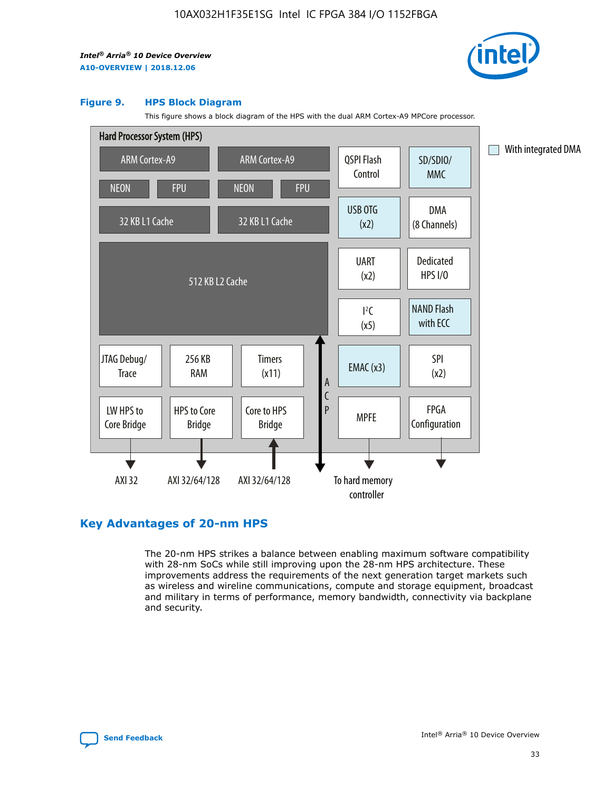

#### **Figure 9. HPS Block Diagram**

This figure shows a block diagram of the HPS with the dual ARM Cortex-A9 MPCore processor.



## **Key Advantages of 20-nm HPS**

The 20-nm HPS strikes a balance between enabling maximum software compatibility with 28-nm SoCs while still improving upon the 28-nm HPS architecture. These improvements address the requirements of the next generation target markets such as wireless and wireline communications, compute and storage equipment, broadcast and military in terms of performance, memory bandwidth, connectivity via backplane and security.

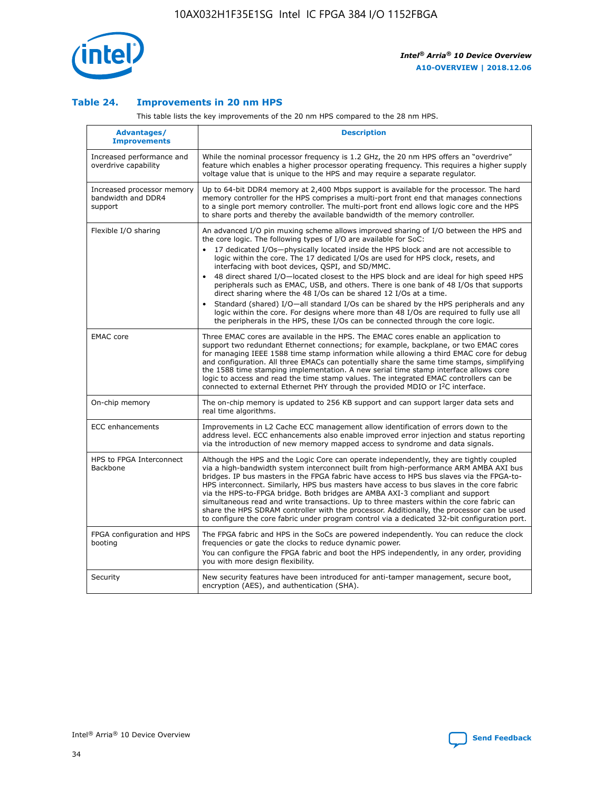

## **Table 24. Improvements in 20 nm HPS**

This table lists the key improvements of the 20 nm HPS compared to the 28 nm HPS.

| Advantages/<br><b>Improvements</b>                          | <b>Description</b>                                                                                                                                                                                                                                                                                                                                                                                                                                                                                                                                                                                                                                                                                                                                                                                                                                                                                                      |
|-------------------------------------------------------------|-------------------------------------------------------------------------------------------------------------------------------------------------------------------------------------------------------------------------------------------------------------------------------------------------------------------------------------------------------------------------------------------------------------------------------------------------------------------------------------------------------------------------------------------------------------------------------------------------------------------------------------------------------------------------------------------------------------------------------------------------------------------------------------------------------------------------------------------------------------------------------------------------------------------------|
| Increased performance and<br>overdrive capability           | While the nominal processor frequency is 1.2 GHz, the 20 nm HPS offers an "overdrive"<br>feature which enables a higher processor operating frequency. This requires a higher supply<br>voltage value that is unique to the HPS and may require a separate requlator.                                                                                                                                                                                                                                                                                                                                                                                                                                                                                                                                                                                                                                                   |
| Increased processor memory<br>bandwidth and DDR4<br>support | Up to 64-bit DDR4 memory at 2,400 Mbps support is available for the processor. The hard<br>memory controller for the HPS comprises a multi-port front end that manages connections<br>to a single port memory controller. The multi-port front end allows logic core and the HPS<br>to share ports and thereby the available bandwidth of the memory controller.                                                                                                                                                                                                                                                                                                                                                                                                                                                                                                                                                        |
| Flexible I/O sharing                                        | An advanced I/O pin muxing scheme allows improved sharing of I/O between the HPS and<br>the core logic. The following types of I/O are available for SoC:<br>17 dedicated I/Os-physically located inside the HPS block and are not accessible to<br>logic within the core. The 17 dedicated I/Os are used for HPS clock, resets, and<br>interfacing with boot devices, QSPI, and SD/MMC.<br>48 direct shared I/O-located closest to the HPS block and are ideal for high speed HPS<br>peripherals such as EMAC, USB, and others. There is one bank of 48 I/Os that supports<br>direct sharing where the 48 I/Os can be shared 12 I/Os at a time.<br>Standard (shared) I/O-all standard I/Os can be shared by the HPS peripherals and any<br>logic within the core. For designs where more than 48 I/Os are required to fully use all<br>the peripherals in the HPS, these I/Os can be connected through the core logic. |
| <b>EMAC</b> core                                            | Three EMAC cores are available in the HPS. The EMAC cores enable an application to<br>support two redundant Ethernet connections; for example, backplane, or two EMAC cores<br>for managing IEEE 1588 time stamp information while allowing a third EMAC core for debug<br>and configuration. All three EMACs can potentially share the same time stamps, simplifying<br>the 1588 time stamping implementation. A new serial time stamp interface allows core<br>logic to access and read the time stamp values. The integrated EMAC controllers can be<br>connected to external Ethernet PHY through the provided MDIO or I <sup>2</sup> C interface.                                                                                                                                                                                                                                                                  |
| On-chip memory                                              | The on-chip memory is updated to 256 KB support and can support larger data sets and<br>real time algorithms.                                                                                                                                                                                                                                                                                                                                                                                                                                                                                                                                                                                                                                                                                                                                                                                                           |
| <b>ECC</b> enhancements                                     | Improvements in L2 Cache ECC management allow identification of errors down to the<br>address level. ECC enhancements also enable improved error injection and status reporting<br>via the introduction of new memory mapped access to syndrome and data signals.                                                                                                                                                                                                                                                                                                                                                                                                                                                                                                                                                                                                                                                       |
| HPS to FPGA Interconnect<br>Backbone                        | Although the HPS and the Logic Core can operate independently, they are tightly coupled<br>via a high-bandwidth system interconnect built from high-performance ARM AMBA AXI bus<br>bridges. IP bus masters in the FPGA fabric have access to HPS bus slaves via the FPGA-to-<br>HPS interconnect. Similarly, HPS bus masters have access to bus slaves in the core fabric<br>via the HPS-to-FPGA bridge. Both bridges are AMBA AXI-3 compliant and support<br>simultaneous read and write transactions. Up to three masters within the core fabric can<br>share the HPS SDRAM controller with the processor. Additionally, the processor can be used<br>to configure the core fabric under program control via a dedicated 32-bit configuration port.                                                                                                                                                                  |
| FPGA configuration and HPS<br>booting                       | The FPGA fabric and HPS in the SoCs are powered independently. You can reduce the clock<br>frequencies or gate the clocks to reduce dynamic power.<br>You can configure the FPGA fabric and boot the HPS independently, in any order, providing<br>you with more design flexibility.                                                                                                                                                                                                                                                                                                                                                                                                                                                                                                                                                                                                                                    |
| Security                                                    | New security features have been introduced for anti-tamper management, secure boot,<br>encryption (AES), and authentication (SHA).                                                                                                                                                                                                                                                                                                                                                                                                                                                                                                                                                                                                                                                                                                                                                                                      |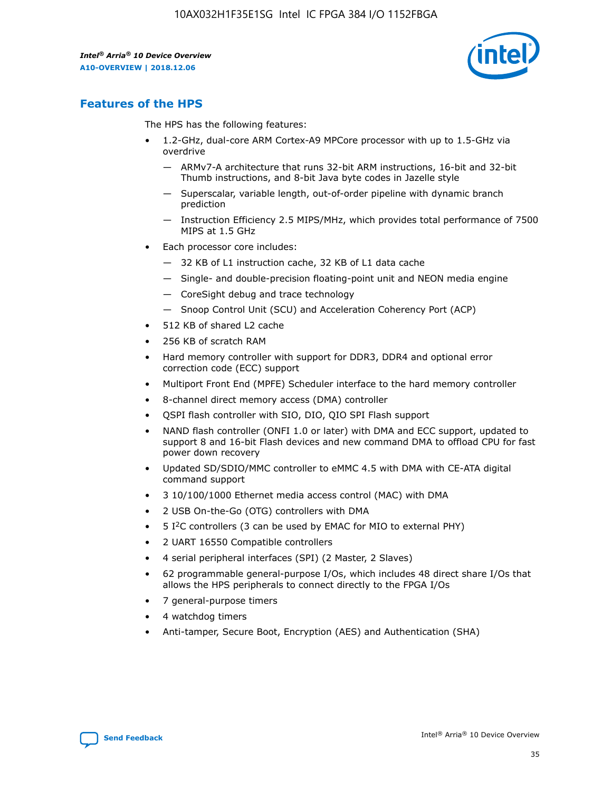

## **Features of the HPS**

The HPS has the following features:

- 1.2-GHz, dual-core ARM Cortex-A9 MPCore processor with up to 1.5-GHz via overdrive
	- ARMv7-A architecture that runs 32-bit ARM instructions, 16-bit and 32-bit Thumb instructions, and 8-bit Java byte codes in Jazelle style
	- Superscalar, variable length, out-of-order pipeline with dynamic branch prediction
	- Instruction Efficiency 2.5 MIPS/MHz, which provides total performance of 7500 MIPS at 1.5 GHz
- Each processor core includes:
	- 32 KB of L1 instruction cache, 32 KB of L1 data cache
	- Single- and double-precision floating-point unit and NEON media engine
	- CoreSight debug and trace technology
	- Snoop Control Unit (SCU) and Acceleration Coherency Port (ACP)
- 512 KB of shared L2 cache
- 256 KB of scratch RAM
- Hard memory controller with support for DDR3, DDR4 and optional error correction code (ECC) support
- Multiport Front End (MPFE) Scheduler interface to the hard memory controller
- 8-channel direct memory access (DMA) controller
- QSPI flash controller with SIO, DIO, QIO SPI Flash support
- NAND flash controller (ONFI 1.0 or later) with DMA and ECC support, updated to support 8 and 16-bit Flash devices and new command DMA to offload CPU for fast power down recovery
- Updated SD/SDIO/MMC controller to eMMC 4.5 with DMA with CE-ATA digital command support
- 3 10/100/1000 Ethernet media access control (MAC) with DMA
- 2 USB On-the-Go (OTG) controllers with DMA
- $\bullet$  5 I<sup>2</sup>C controllers (3 can be used by EMAC for MIO to external PHY)
- 2 UART 16550 Compatible controllers
- 4 serial peripheral interfaces (SPI) (2 Master, 2 Slaves)
- 62 programmable general-purpose I/Os, which includes 48 direct share I/Os that allows the HPS peripherals to connect directly to the FPGA I/Os
- 7 general-purpose timers
- 4 watchdog timers
- Anti-tamper, Secure Boot, Encryption (AES) and Authentication (SHA)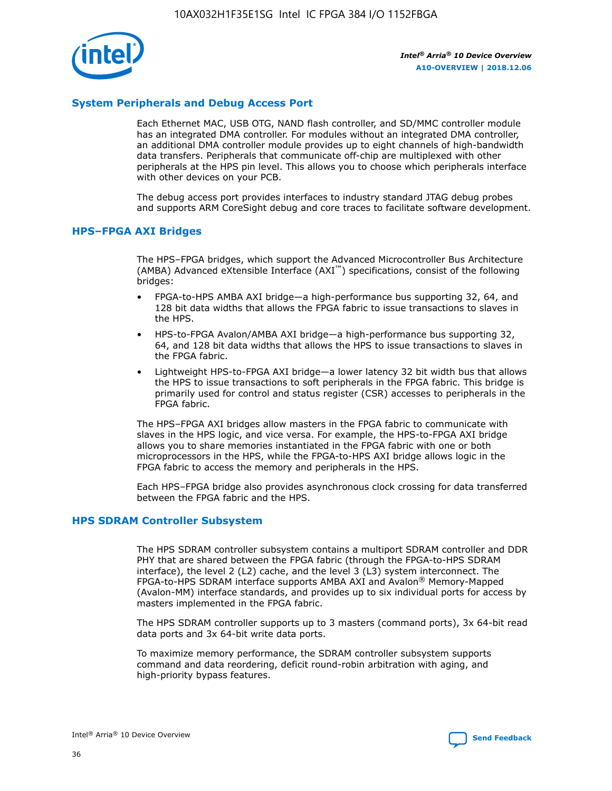

## **System Peripherals and Debug Access Port**

Each Ethernet MAC, USB OTG, NAND flash controller, and SD/MMC controller module has an integrated DMA controller. For modules without an integrated DMA controller, an additional DMA controller module provides up to eight channels of high-bandwidth data transfers. Peripherals that communicate off-chip are multiplexed with other peripherals at the HPS pin level. This allows you to choose which peripherals interface with other devices on your PCB.

The debug access port provides interfaces to industry standard JTAG debug probes and supports ARM CoreSight debug and core traces to facilitate software development.

## **HPS–FPGA AXI Bridges**

The HPS–FPGA bridges, which support the Advanced Microcontroller Bus Architecture (AMBA) Advanced eXtensible Interface (AXI™) specifications, consist of the following bridges:

- FPGA-to-HPS AMBA AXI bridge—a high-performance bus supporting 32, 64, and 128 bit data widths that allows the FPGA fabric to issue transactions to slaves in the HPS.
- HPS-to-FPGA Avalon/AMBA AXI bridge—a high-performance bus supporting 32, 64, and 128 bit data widths that allows the HPS to issue transactions to slaves in the FPGA fabric.
- Lightweight HPS-to-FPGA AXI bridge—a lower latency 32 bit width bus that allows the HPS to issue transactions to soft peripherals in the FPGA fabric. This bridge is primarily used for control and status register (CSR) accesses to peripherals in the FPGA fabric.

The HPS–FPGA AXI bridges allow masters in the FPGA fabric to communicate with slaves in the HPS logic, and vice versa. For example, the HPS-to-FPGA AXI bridge allows you to share memories instantiated in the FPGA fabric with one or both microprocessors in the HPS, while the FPGA-to-HPS AXI bridge allows logic in the FPGA fabric to access the memory and peripherals in the HPS.

Each HPS–FPGA bridge also provides asynchronous clock crossing for data transferred between the FPGA fabric and the HPS.

## **HPS SDRAM Controller Subsystem**

The HPS SDRAM controller subsystem contains a multiport SDRAM controller and DDR PHY that are shared between the FPGA fabric (through the FPGA-to-HPS SDRAM interface), the level 2 (L2) cache, and the level 3 (L3) system interconnect. The FPGA-to-HPS SDRAM interface supports AMBA AXI and Avalon® Memory-Mapped (Avalon-MM) interface standards, and provides up to six individual ports for access by masters implemented in the FPGA fabric.

The HPS SDRAM controller supports up to 3 masters (command ports), 3x 64-bit read data ports and 3x 64-bit write data ports.

To maximize memory performance, the SDRAM controller subsystem supports command and data reordering, deficit round-robin arbitration with aging, and high-priority bypass features.

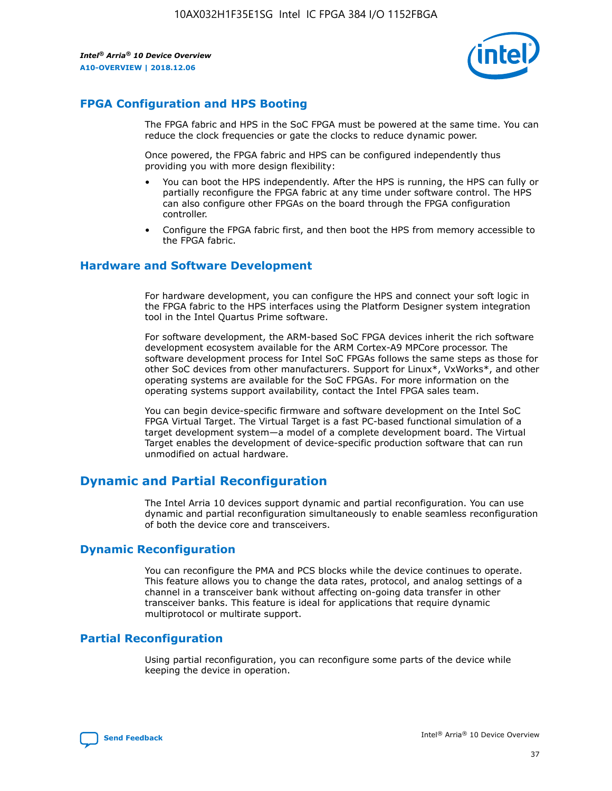

## **FPGA Configuration and HPS Booting**

The FPGA fabric and HPS in the SoC FPGA must be powered at the same time. You can reduce the clock frequencies or gate the clocks to reduce dynamic power.

Once powered, the FPGA fabric and HPS can be configured independently thus providing you with more design flexibility:

- You can boot the HPS independently. After the HPS is running, the HPS can fully or partially reconfigure the FPGA fabric at any time under software control. The HPS can also configure other FPGAs on the board through the FPGA configuration controller.
- Configure the FPGA fabric first, and then boot the HPS from memory accessible to the FPGA fabric.

## **Hardware and Software Development**

For hardware development, you can configure the HPS and connect your soft logic in the FPGA fabric to the HPS interfaces using the Platform Designer system integration tool in the Intel Quartus Prime software.

For software development, the ARM-based SoC FPGA devices inherit the rich software development ecosystem available for the ARM Cortex-A9 MPCore processor. The software development process for Intel SoC FPGAs follows the same steps as those for other SoC devices from other manufacturers. Support for Linux\*, VxWorks\*, and other operating systems are available for the SoC FPGAs. For more information on the operating systems support availability, contact the Intel FPGA sales team.

You can begin device-specific firmware and software development on the Intel SoC FPGA Virtual Target. The Virtual Target is a fast PC-based functional simulation of a target development system—a model of a complete development board. The Virtual Target enables the development of device-specific production software that can run unmodified on actual hardware.

## **Dynamic and Partial Reconfiguration**

The Intel Arria 10 devices support dynamic and partial reconfiguration. You can use dynamic and partial reconfiguration simultaneously to enable seamless reconfiguration of both the device core and transceivers.

## **Dynamic Reconfiguration**

You can reconfigure the PMA and PCS blocks while the device continues to operate. This feature allows you to change the data rates, protocol, and analog settings of a channel in a transceiver bank without affecting on-going data transfer in other transceiver banks. This feature is ideal for applications that require dynamic multiprotocol or multirate support.

## **Partial Reconfiguration**

Using partial reconfiguration, you can reconfigure some parts of the device while keeping the device in operation.

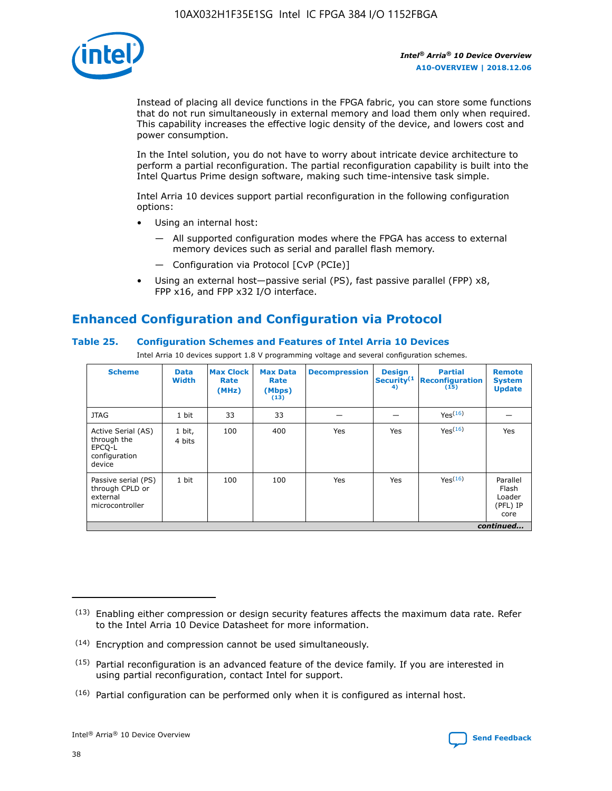

Instead of placing all device functions in the FPGA fabric, you can store some functions that do not run simultaneously in external memory and load them only when required. This capability increases the effective logic density of the device, and lowers cost and power consumption.

In the Intel solution, you do not have to worry about intricate device architecture to perform a partial reconfiguration. The partial reconfiguration capability is built into the Intel Quartus Prime design software, making such time-intensive task simple.

Intel Arria 10 devices support partial reconfiguration in the following configuration options:

- Using an internal host:
	- All supported configuration modes where the FPGA has access to external memory devices such as serial and parallel flash memory.
	- Configuration via Protocol [CvP (PCIe)]
- Using an external host—passive serial (PS), fast passive parallel (FPP) x8, FPP x16, and FPP x32 I/O interface.

# **Enhanced Configuration and Configuration via Protocol**

## **Table 25. Configuration Schemes and Features of Intel Arria 10 Devices**

Intel Arria 10 devices support 1.8 V programming voltage and several configuration schemes.

| <b>Scheme</b>                                                          | <b>Data</b><br><b>Width</b> | <b>Max Clock</b><br>Rate<br>(MHz) | <b>Max Data</b><br>Rate<br>(Mbps)<br>(13) | <b>Decompression</b> | <b>Design</b><br>Security <sup>(1</sup><br>4) | <b>Partial</b><br>Reconfiguration<br>(15) | <b>Remote</b><br><b>System</b><br><b>Update</b> |
|------------------------------------------------------------------------|-----------------------------|-----------------------------------|-------------------------------------------|----------------------|-----------------------------------------------|-------------------------------------------|-------------------------------------------------|
| <b>JTAG</b>                                                            | 1 bit                       | 33                                | 33                                        |                      |                                               | Yes(16)                                   |                                                 |
| Active Serial (AS)<br>through the<br>EPCO-L<br>configuration<br>device | 1 bit,<br>4 bits            | 100                               | 400                                       | Yes                  | Yes                                           | Yes(16)                                   | Yes                                             |
| Passive serial (PS)<br>through CPLD or<br>external<br>microcontroller  | 1 bit                       | 100                               | 100                                       | Yes                  | Yes                                           | Yes <sup>(16)</sup>                       | Parallel<br>Flash<br>Loader<br>(PFL) IP<br>core |
|                                                                        |                             |                                   |                                           |                      |                                               |                                           | continued                                       |

<sup>(13)</sup> Enabling either compression or design security features affects the maximum data rate. Refer to the Intel Arria 10 Device Datasheet for more information.

<sup>(14)</sup> Encryption and compression cannot be used simultaneously.

 $(15)$  Partial reconfiguration is an advanced feature of the device family. If you are interested in using partial reconfiguration, contact Intel for support.

 $(16)$  Partial configuration can be performed only when it is configured as internal host.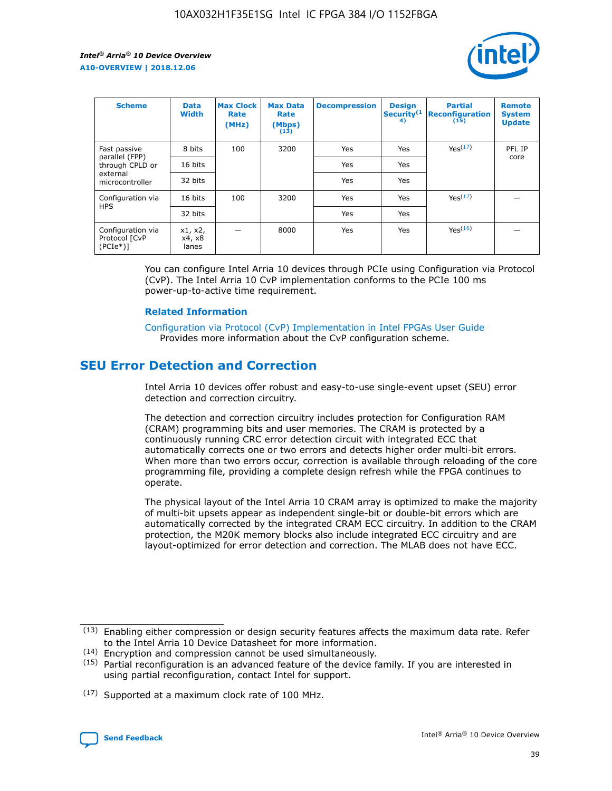

| <b>Scheme</b>                                   | <b>Data</b><br><b>Width</b> | <b>Max Clock</b><br>Rate<br>(MHz) | <b>Max Data</b><br>Rate<br>(Mbps)<br>(13) | <b>Decompression</b> | <b>Design</b><br>Security <sup>(1</sup><br>4) | <b>Partial</b><br><b>Reconfiguration</b><br>(15) | <b>Remote</b><br><b>System</b><br><b>Update</b> |
|-------------------------------------------------|-----------------------------|-----------------------------------|-------------------------------------------|----------------------|-----------------------------------------------|--------------------------------------------------|-------------------------------------------------|
| Fast passive                                    | 8 bits                      | 100                               | 3200                                      | Yes                  | Yes                                           | Yes(17)                                          | PFL IP                                          |
| parallel (FPP)<br>through CPLD or               | 16 bits                     |                                   |                                           | Yes                  | Yes                                           |                                                  | core                                            |
| external<br>microcontroller                     | 32 bits                     |                                   |                                           | Yes                  | Yes                                           |                                                  |                                                 |
| Configuration via                               | 16 bits                     | 100                               | 3200                                      | Yes                  | Yes                                           | Yes <sup>(17)</sup>                              |                                                 |
| <b>HPS</b>                                      | 32 bits                     |                                   |                                           | Yes                  | Yes                                           |                                                  |                                                 |
| Configuration via<br>Protocol [CvP<br>$(PCIe*)$ | x1, x2,<br>x4, x8<br>lanes  |                                   | 8000                                      | Yes                  | Yes                                           | Yes(16)                                          |                                                 |

You can configure Intel Arria 10 devices through PCIe using Configuration via Protocol (CvP). The Intel Arria 10 CvP implementation conforms to the PCIe 100 ms power-up-to-active time requirement.

#### **Related Information**

[Configuration via Protocol \(CvP\) Implementation in Intel FPGAs User Guide](https://www.intel.com/content/www/us/en/programmable/documentation/dsu1441819344145.html#dsu1442269728522) Provides more information about the CvP configuration scheme.

## **SEU Error Detection and Correction**

Intel Arria 10 devices offer robust and easy-to-use single-event upset (SEU) error detection and correction circuitry.

The detection and correction circuitry includes protection for Configuration RAM (CRAM) programming bits and user memories. The CRAM is protected by a continuously running CRC error detection circuit with integrated ECC that automatically corrects one or two errors and detects higher order multi-bit errors. When more than two errors occur, correction is available through reloading of the core programming file, providing a complete design refresh while the FPGA continues to operate.

The physical layout of the Intel Arria 10 CRAM array is optimized to make the majority of multi-bit upsets appear as independent single-bit or double-bit errors which are automatically corrected by the integrated CRAM ECC circuitry. In addition to the CRAM protection, the M20K memory blocks also include integrated ECC circuitry and are layout-optimized for error detection and correction. The MLAB does not have ECC.

(14) Encryption and compression cannot be used simultaneously.

<sup>(17)</sup> Supported at a maximum clock rate of 100 MHz.



 $(13)$  Enabling either compression or design security features affects the maximum data rate. Refer to the Intel Arria 10 Device Datasheet for more information.

 $(15)$  Partial reconfiguration is an advanced feature of the device family. If you are interested in using partial reconfiguration, contact Intel for support.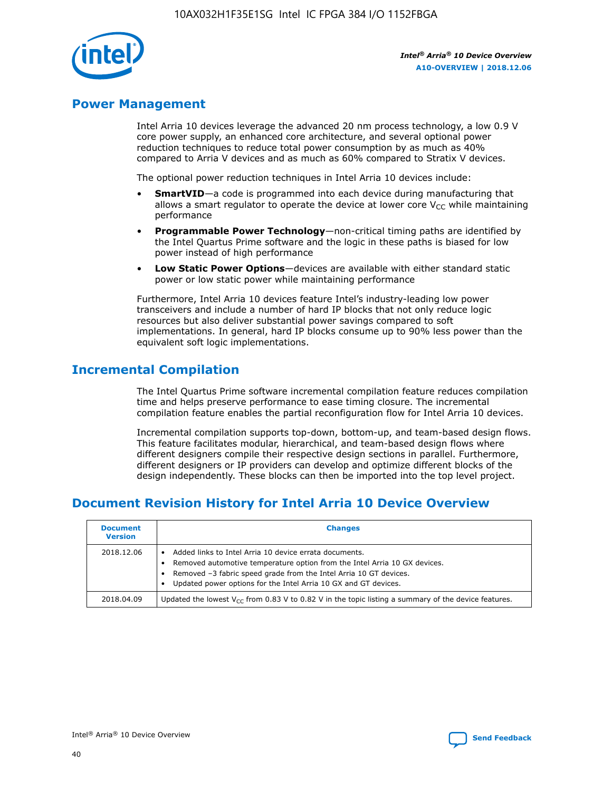

## **Power Management**

Intel Arria 10 devices leverage the advanced 20 nm process technology, a low 0.9 V core power supply, an enhanced core architecture, and several optional power reduction techniques to reduce total power consumption by as much as 40% compared to Arria V devices and as much as 60% compared to Stratix V devices.

The optional power reduction techniques in Intel Arria 10 devices include:

- **SmartVID**—a code is programmed into each device during manufacturing that allows a smart regulator to operate the device at lower core  $V_{CC}$  while maintaining performance
- **Programmable Power Technology**—non-critical timing paths are identified by the Intel Quartus Prime software and the logic in these paths is biased for low power instead of high performance
- **Low Static Power Options**—devices are available with either standard static power or low static power while maintaining performance

Furthermore, Intel Arria 10 devices feature Intel's industry-leading low power transceivers and include a number of hard IP blocks that not only reduce logic resources but also deliver substantial power savings compared to soft implementations. In general, hard IP blocks consume up to 90% less power than the equivalent soft logic implementations.

## **Incremental Compilation**

The Intel Quartus Prime software incremental compilation feature reduces compilation time and helps preserve performance to ease timing closure. The incremental compilation feature enables the partial reconfiguration flow for Intel Arria 10 devices.

Incremental compilation supports top-down, bottom-up, and team-based design flows. This feature facilitates modular, hierarchical, and team-based design flows where different designers compile their respective design sections in parallel. Furthermore, different designers or IP providers can develop and optimize different blocks of the design independently. These blocks can then be imported into the top level project.

# **Document Revision History for Intel Arria 10 Device Overview**

| <b>Document</b><br><b>Version</b> | <b>Changes</b>                                                                                                                                                                                                                                                              |
|-----------------------------------|-----------------------------------------------------------------------------------------------------------------------------------------------------------------------------------------------------------------------------------------------------------------------------|
| 2018.12.06                        | Added links to Intel Arria 10 device errata documents.<br>Removed automotive temperature option from the Intel Arria 10 GX devices.<br>Removed -3 fabric speed grade from the Intel Arria 10 GT devices.<br>Updated power options for the Intel Arria 10 GX and GT devices. |
| 2018.04.09                        | Updated the lowest $V_{CC}$ from 0.83 V to 0.82 V in the topic listing a summary of the device features.                                                                                                                                                                    |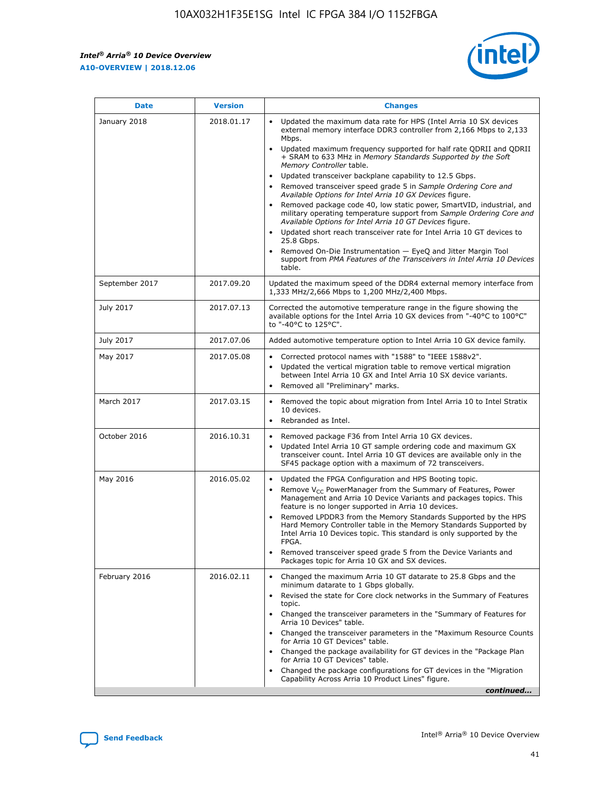

| <b>Date</b>    | <b>Version</b> | <b>Changes</b>                                                                                                                                                                                                                                                                                                                                                                                                                                                                                                                                                                                                                                                                                                                                                                                                                                                                                                                                               |
|----------------|----------------|--------------------------------------------------------------------------------------------------------------------------------------------------------------------------------------------------------------------------------------------------------------------------------------------------------------------------------------------------------------------------------------------------------------------------------------------------------------------------------------------------------------------------------------------------------------------------------------------------------------------------------------------------------------------------------------------------------------------------------------------------------------------------------------------------------------------------------------------------------------------------------------------------------------------------------------------------------------|
| January 2018   | 2018.01.17     | Updated the maximum data rate for HPS (Intel Arria 10 SX devices<br>external memory interface DDR3 controller from 2,166 Mbps to 2,133<br>Mbps.<br>Updated maximum frequency supported for half rate QDRII and QDRII<br>+ SRAM to 633 MHz in Memory Standards Supported by the Soft<br>Memory Controller table.<br>Updated transceiver backplane capability to 12.5 Gbps.<br>Removed transceiver speed grade 5 in Sample Ordering Core and<br>Available Options for Intel Arria 10 GX Devices figure.<br>Removed package code 40, low static power, SmartVID, industrial, and<br>military operating temperature support from Sample Ordering Core and<br>Available Options for Intel Arria 10 GT Devices figure.<br>Updated short reach transceiver rate for Intel Arria 10 GT devices to<br>25.8 Gbps.<br>Removed On-Die Instrumentation - EyeQ and Jitter Margin Tool<br>support from PMA Features of the Transceivers in Intel Arria 10 Devices<br>table. |
| September 2017 | 2017.09.20     | Updated the maximum speed of the DDR4 external memory interface from<br>1,333 MHz/2,666 Mbps to 1,200 MHz/2,400 Mbps.                                                                                                                                                                                                                                                                                                                                                                                                                                                                                                                                                                                                                                                                                                                                                                                                                                        |
| July 2017      | 2017.07.13     | Corrected the automotive temperature range in the figure showing the<br>available options for the Intel Arria 10 GX devices from "-40°C to 100°C"<br>to "-40°C to 125°C".                                                                                                                                                                                                                                                                                                                                                                                                                                                                                                                                                                                                                                                                                                                                                                                    |
| July 2017      | 2017.07.06     | Added automotive temperature option to Intel Arria 10 GX device family.                                                                                                                                                                                                                                                                                                                                                                                                                                                                                                                                                                                                                                                                                                                                                                                                                                                                                      |
| May 2017       | 2017.05.08     | Corrected protocol names with "1588" to "IEEE 1588v2".<br>Updated the vertical migration table to remove vertical migration<br>$\bullet$<br>between Intel Arria 10 GX and Intel Arria 10 SX device variants.<br>Removed all "Preliminary" marks.                                                                                                                                                                                                                                                                                                                                                                                                                                                                                                                                                                                                                                                                                                             |
| March 2017     | 2017.03.15     | Removed the topic about migration from Intel Arria 10 to Intel Stratix<br>10 devices.<br>Rebranded as Intel.<br>$\bullet$                                                                                                                                                                                                                                                                                                                                                                                                                                                                                                                                                                                                                                                                                                                                                                                                                                    |
| October 2016   | 2016.10.31     | Removed package F36 from Intel Arria 10 GX devices.<br>Updated Intel Arria 10 GT sample ordering code and maximum GX<br>$\bullet$<br>transceiver count. Intel Arria 10 GT devices are available only in the<br>SF45 package option with a maximum of 72 transceivers.                                                                                                                                                                                                                                                                                                                                                                                                                                                                                                                                                                                                                                                                                        |
| May 2016       | 2016.05.02     | Updated the FPGA Configuration and HPS Booting topic.<br>$\bullet$<br>Remove V <sub>CC</sub> PowerManager from the Summary of Features, Power<br>Management and Arria 10 Device Variants and packages topics. This<br>feature is no longer supported in Arria 10 devices.<br>Removed LPDDR3 from the Memory Standards Supported by the HPS<br>Hard Memory Controller table in the Memory Standards Supported by<br>Intel Arria 10 Devices topic. This standard is only supported by the<br>FPGA.<br>Removed transceiver speed grade 5 from the Device Variants and<br>Packages topic for Arria 10 GX and SX devices.                                                                                                                                                                                                                                                                                                                                         |
| February 2016  | 2016.02.11     | Changed the maximum Arria 10 GT datarate to 25.8 Gbps and the<br>minimum datarate to 1 Gbps globally.<br>Revised the state for Core clock networks in the Summary of Features<br>topic.<br>Changed the transceiver parameters in the "Summary of Features for<br>Arria 10 Devices" table.<br>Changed the transceiver parameters in the "Maximum Resource Counts"<br>for Arria 10 GT Devices" table.<br>Changed the package availability for GT devices in the "Package Plan<br>for Arria 10 GT Devices" table.<br>Changed the package configurations for GT devices in the "Migration"<br>Capability Across Arria 10 Product Lines" figure.<br>continued                                                                                                                                                                                                                                                                                                     |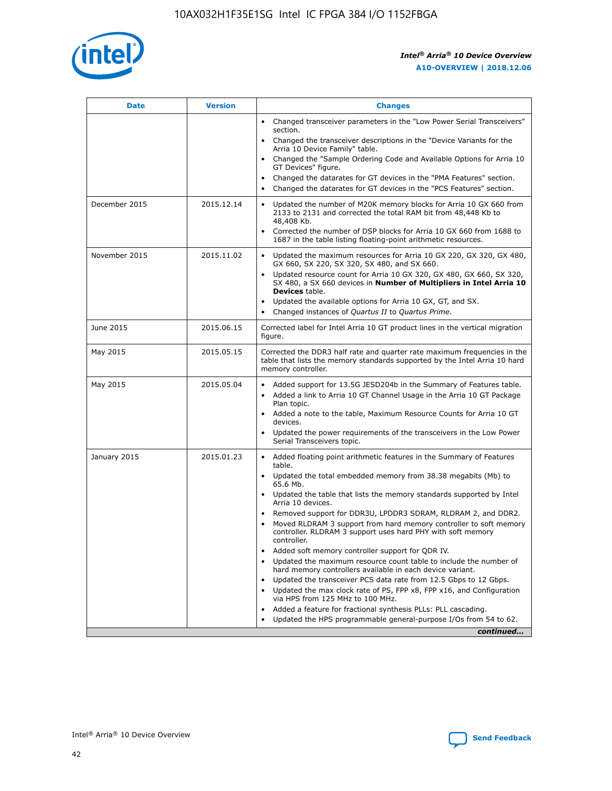

| <b>Date</b>   | <b>Version</b> | <b>Changes</b>                                                                                                                                                               |
|---------------|----------------|------------------------------------------------------------------------------------------------------------------------------------------------------------------------------|
|               |                | • Changed transceiver parameters in the "Low Power Serial Transceivers"<br>section.                                                                                          |
|               |                | • Changed the transceiver descriptions in the "Device Variants for the<br>Arria 10 Device Family" table.                                                                     |
|               |                | Changed the "Sample Ordering Code and Available Options for Arria 10<br>$\bullet$<br>GT Devices" figure.                                                                     |
|               |                | Changed the datarates for GT devices in the "PMA Features" section.                                                                                                          |
|               |                | Changed the datarates for GT devices in the "PCS Features" section.<br>$\bullet$                                                                                             |
| December 2015 | 2015.12.14     | Updated the number of M20K memory blocks for Arria 10 GX 660 from<br>2133 to 2131 and corrected the total RAM bit from 48,448 Kb to<br>48,408 Kb.                            |
|               |                | Corrected the number of DSP blocks for Arria 10 GX 660 from 1688 to<br>1687 in the table listing floating-point arithmetic resources.                                        |
| November 2015 | 2015.11.02     | Updated the maximum resources for Arria 10 GX 220, GX 320, GX 480,<br>$\bullet$<br>GX 660, SX 220, SX 320, SX 480, and SX 660.                                               |
|               |                | • Updated resource count for Arria 10 GX 320, GX 480, GX 660, SX 320,<br>SX 480, a SX 660 devices in Number of Multipliers in Intel Arria 10<br><b>Devices</b> table.        |
|               |                | Updated the available options for Arria 10 GX, GT, and SX.                                                                                                                   |
|               |                | Changed instances of Quartus II to Quartus Prime.<br>$\bullet$                                                                                                               |
| June 2015     | 2015.06.15     | Corrected label for Intel Arria 10 GT product lines in the vertical migration<br>figure.                                                                                     |
| May 2015      | 2015.05.15     | Corrected the DDR3 half rate and quarter rate maximum frequencies in the<br>table that lists the memory standards supported by the Intel Arria 10 hard<br>memory controller. |
| May 2015      | 2015.05.04     | • Added support for 13.5G JESD204b in the Summary of Features table.                                                                                                         |
|               |                | • Added a link to Arria 10 GT Channel Usage in the Arria 10 GT Package<br>Plan topic.                                                                                        |
|               |                | • Added a note to the table, Maximum Resource Counts for Arria 10 GT<br>devices.                                                                                             |
|               |                | • Updated the power requirements of the transceivers in the Low Power<br>Serial Transceivers topic.                                                                          |
| January 2015  | 2015.01.23     | • Added floating point arithmetic features in the Summary of Features<br>table.                                                                                              |
|               |                | • Updated the total embedded memory from 38.38 megabits (Mb) to<br>65.6 Mb.                                                                                                  |
|               |                | • Updated the table that lists the memory standards supported by Intel<br>Arria 10 devices.                                                                                  |
|               |                | Removed support for DDR3U, LPDDR3 SDRAM, RLDRAM 2, and DDR2.                                                                                                                 |
|               |                | Moved RLDRAM 3 support from hard memory controller to soft memory<br>controller. RLDRAM 3 support uses hard PHY with soft memory<br>controller.                              |
|               |                | Added soft memory controller support for QDR IV.<br>٠                                                                                                                        |
|               |                | Updated the maximum resource count table to include the number of<br>hard memory controllers available in each device variant.                                               |
|               |                | Updated the transceiver PCS data rate from 12.5 Gbps to 12 Gbps.<br>$\bullet$                                                                                                |
|               |                | Updated the max clock rate of PS, FPP x8, FPP x16, and Configuration<br>via HPS from 125 MHz to 100 MHz.                                                                     |
|               |                | Added a feature for fractional synthesis PLLs: PLL cascading.                                                                                                                |
|               |                | Updated the HPS programmable general-purpose I/Os from 54 to 62.<br>$\bullet$                                                                                                |
|               |                | continued                                                                                                                                                                    |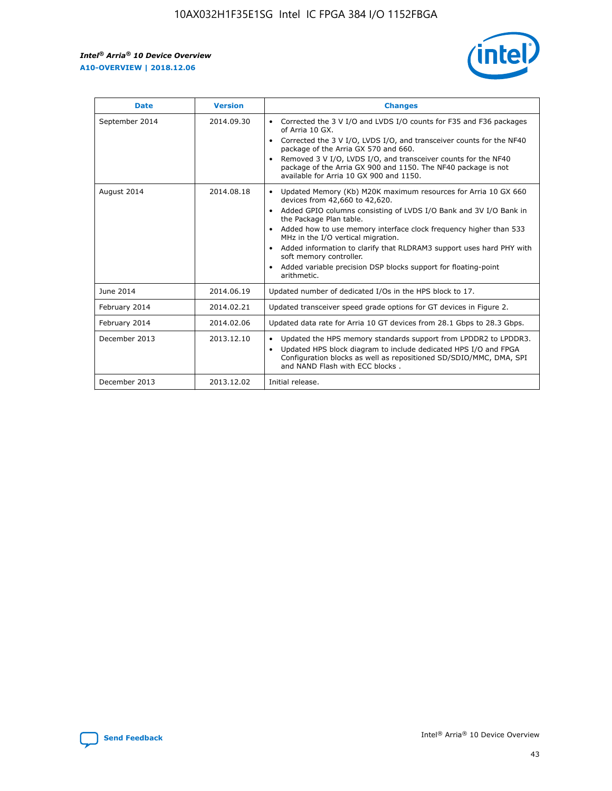r



| <b>Date</b>    | <b>Version</b> | <b>Changes</b>                                                                                                                                                                                                                                                                                                                                                                                                                                                                                                                                      |
|----------------|----------------|-----------------------------------------------------------------------------------------------------------------------------------------------------------------------------------------------------------------------------------------------------------------------------------------------------------------------------------------------------------------------------------------------------------------------------------------------------------------------------------------------------------------------------------------------------|
| September 2014 | 2014.09.30     | Corrected the 3 V I/O and LVDS I/O counts for F35 and F36 packages<br>$\bullet$<br>of Arria 10 GX.<br>Corrected the 3 V I/O, LVDS I/O, and transceiver counts for the NF40<br>$\bullet$<br>package of the Arria GX 570 and 660.<br>Removed 3 V I/O, LVDS I/O, and transceiver counts for the NF40<br>package of the Arria GX 900 and 1150. The NF40 package is not<br>available for Arria 10 GX 900 and 1150.                                                                                                                                       |
| August 2014    | 2014.08.18     | Updated Memory (Kb) M20K maximum resources for Arria 10 GX 660<br>devices from 42,660 to 42,620.<br>Added GPIO columns consisting of LVDS I/O Bank and 3V I/O Bank in<br>$\bullet$<br>the Package Plan table.<br>Added how to use memory interface clock frequency higher than 533<br>$\bullet$<br>MHz in the I/O vertical migration.<br>Added information to clarify that RLDRAM3 support uses hard PHY with<br>$\bullet$<br>soft memory controller.<br>Added variable precision DSP blocks support for floating-point<br>$\bullet$<br>arithmetic. |
| June 2014      | 2014.06.19     | Updated number of dedicated I/Os in the HPS block to 17.                                                                                                                                                                                                                                                                                                                                                                                                                                                                                            |
| February 2014  | 2014.02.21     | Updated transceiver speed grade options for GT devices in Figure 2.                                                                                                                                                                                                                                                                                                                                                                                                                                                                                 |
| February 2014  | 2014.02.06     | Updated data rate for Arria 10 GT devices from 28.1 Gbps to 28.3 Gbps.                                                                                                                                                                                                                                                                                                                                                                                                                                                                              |
| December 2013  | 2013.12.10     | Updated the HPS memory standards support from LPDDR2 to LPDDR3.<br>Updated HPS block diagram to include dedicated HPS I/O and FPGA<br>$\bullet$<br>Configuration blocks as well as repositioned SD/SDIO/MMC, DMA, SPI<br>and NAND Flash with ECC blocks.                                                                                                                                                                                                                                                                                            |
| December 2013  | 2013.12.02     | Initial release.                                                                                                                                                                                                                                                                                                                                                                                                                                                                                                                                    |